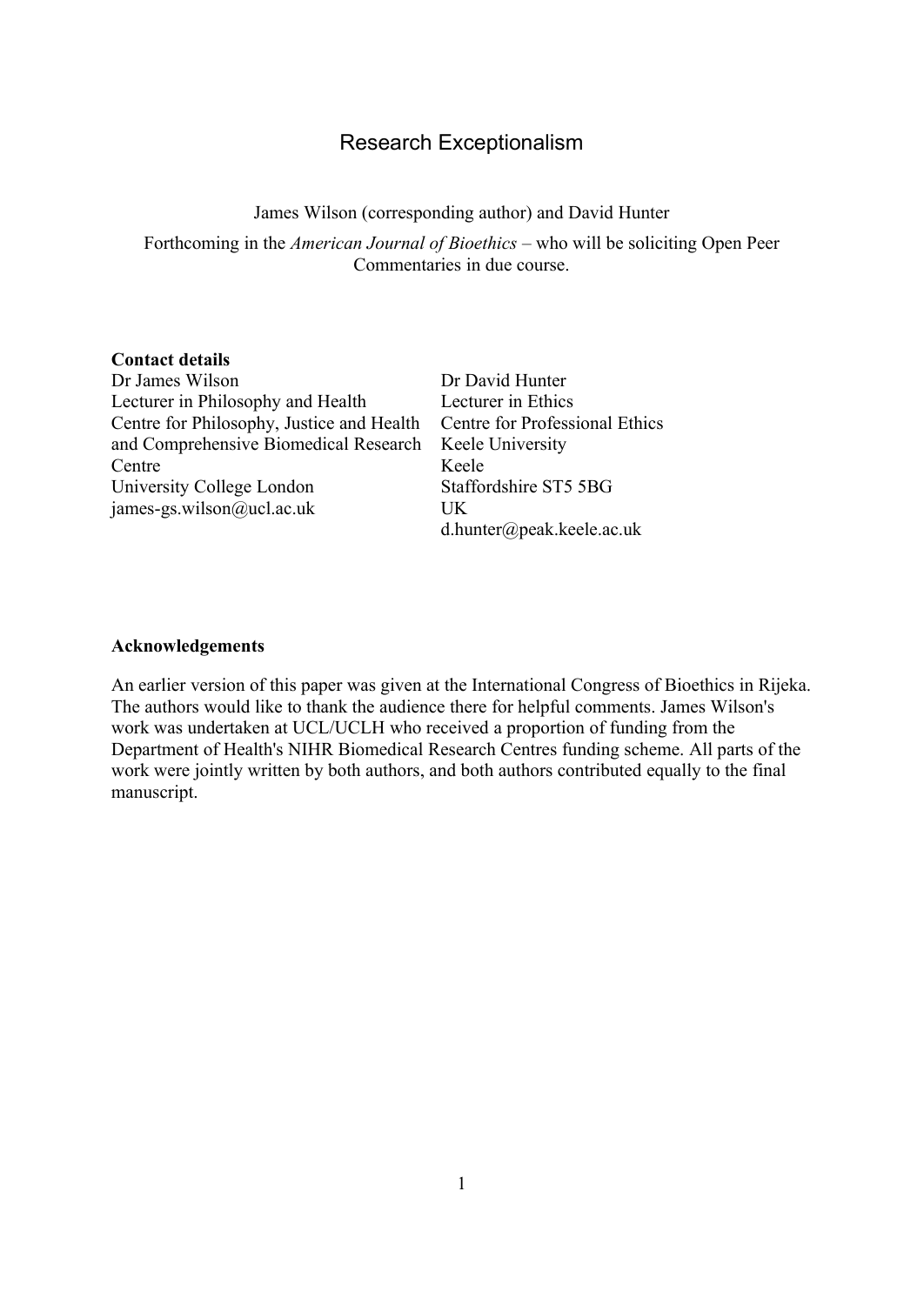# Research Exceptionalism

James Wilson (corresponding author) and David Hunter

Forthcoming in the *American Journal of Bioethics –* who will be soliciting Open Peer Commentaries in due course.

#### **Contact details**

Dr James Wilson Lecturer in Philosophy and Health Centre for Philosophy, Justice and Health and Comprehensive Biomedical Research **Centre** University College London james-gs.wilson@ucl.ac.uk

Dr David Hunter Lecturer in Ethics Centre for Professional Ethics Keele University Keele Staffordshire ST5 5BG UK d.hunter@peak.keele.ac.uk

#### **Acknowledgements**

An earlier version of this paper was given at the International Congress of Bioethics in Rijeka. The authors would like to thank the audience there for helpful comments. James Wilson's work was undertaken at UCL/UCLH who received a proportion of funding from the Department of Health's NIHR Biomedical Research Centres funding scheme. All parts of the work were jointly written by both authors, and both authors contributed equally to the final manuscript.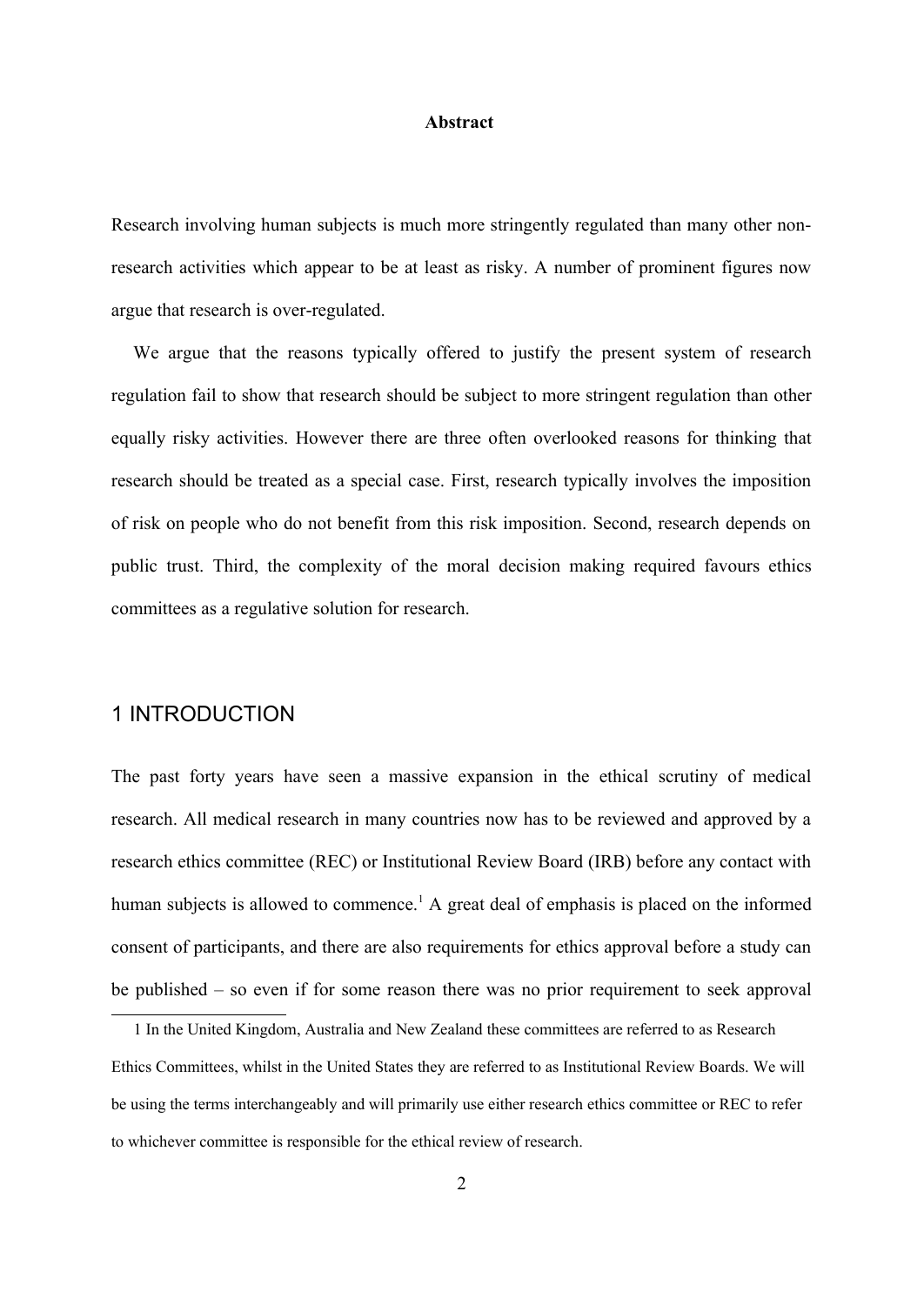#### **Abstract**

Research involving human subjects is much more stringently regulated than many other nonresearch activities which appear to be at least as risky. A number of prominent figures now argue that research is over-regulated.

We argue that the reasons typically offered to justify the present system of research regulation fail to show that research should be subject to more stringent regulation than other equally risky activities. However there are three often overlooked reasons for thinking that research should be treated as a special case. First, research typically involves the imposition of risk on people who do not benefit from this risk imposition. Second, research depends on public trust. Third, the complexity of the moral decision making required favours ethics committees as a regulative solution for research.

### 1 INTRODUCTION

The past forty years have seen a massive expansion in the ethical scrutiny of medical research. All medical research in many countries now has to be reviewed and approved by a research ethics committee (REC) or Institutional Review Board (IRB) before any contact with human subjects is allowed to commence.<sup>[1](#page-1-0)</sup> A great deal of emphasis is placed on the informed consent of participants, and there are also requirements for ethics approval before a study can be published – so even if for some reason there was no prior requirement to seek approval

<span id="page-1-0"></span><sup>1</sup> In the United Kingdom, Australia and New Zealand these committees are referred to as Research Ethics Committees, whilst in the United States they are referred to as Institutional Review Boards. We will be using the terms interchangeably and will primarily use either research ethics committee or REC to refer to whichever committee is responsible for the ethical review of research.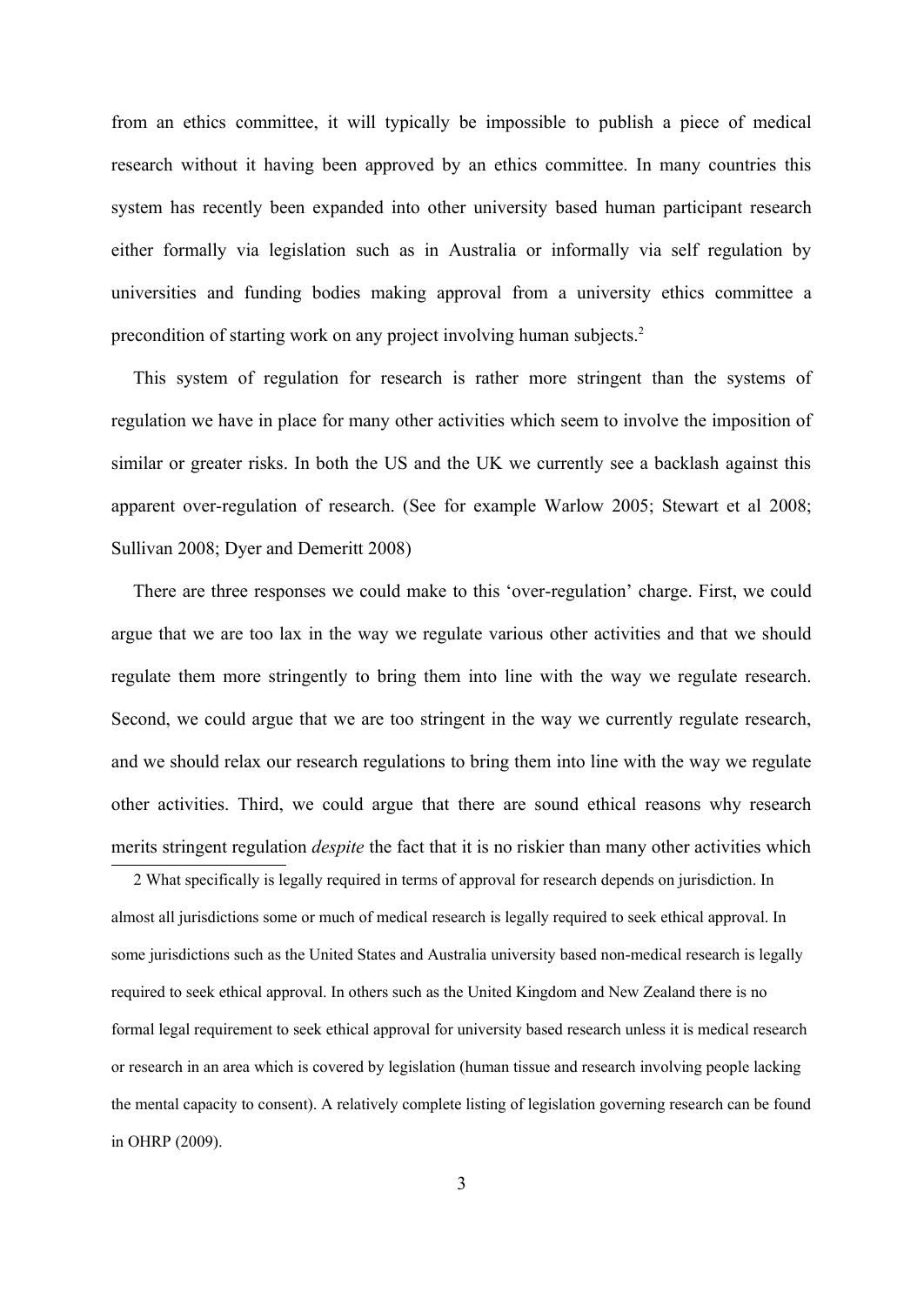from an ethics committee, it will typically be impossible to publish a piece of medical research without it having been approved by an ethics committee. In many countries this system has recently been expanded into other university based human participant research either formally via legislation such as in Australia or informally via self regulation by universities and funding bodies making approval from a university ethics committee a precondition of starting work on any project involving human subjects.[2](#page-2-0)

This system of regulation for research is rather more stringent than the systems of regulation we have in place for many other activities which seem to involve the imposition of similar or greater risks. In both the US and the UK we currently see a backlash against this apparent over-regulation of research. (See for example Warlow 2005; Stewart et al 2008; Sullivan 2008; Dyer and Demeritt 2008)

There are three responses we could make to this 'over-regulation' charge. First, we could argue that we are too lax in the way we regulate various other activities and that we should regulate them more stringently to bring them into line with the way we regulate research. Second, we could argue that we are too stringent in the way we currently regulate research, and we should relax our research regulations to bring them into line with the way we regulate other activities. Third, we could argue that there are sound ethical reasons why research merits stringent regulation *despite* the fact that it is no riskier than many other activities which

<span id="page-2-0"></span>2 What specifically is legally required in terms of approval for research depends on jurisdiction. In almost all jurisdictions some or much of medical research is legally required to seek ethical approval. In some jurisdictions such as the United States and Australia university based non-medical research is legally required to seek ethical approval. In others such as the United Kingdom and New Zealand there is no formal legal requirement to seek ethical approval for university based research unless it is medical research or research in an area which is covered by legislation (human tissue and research involving people lacking the mental capacity to consent). A relatively complete listing of legislation governing research can be found in OHRP (2009).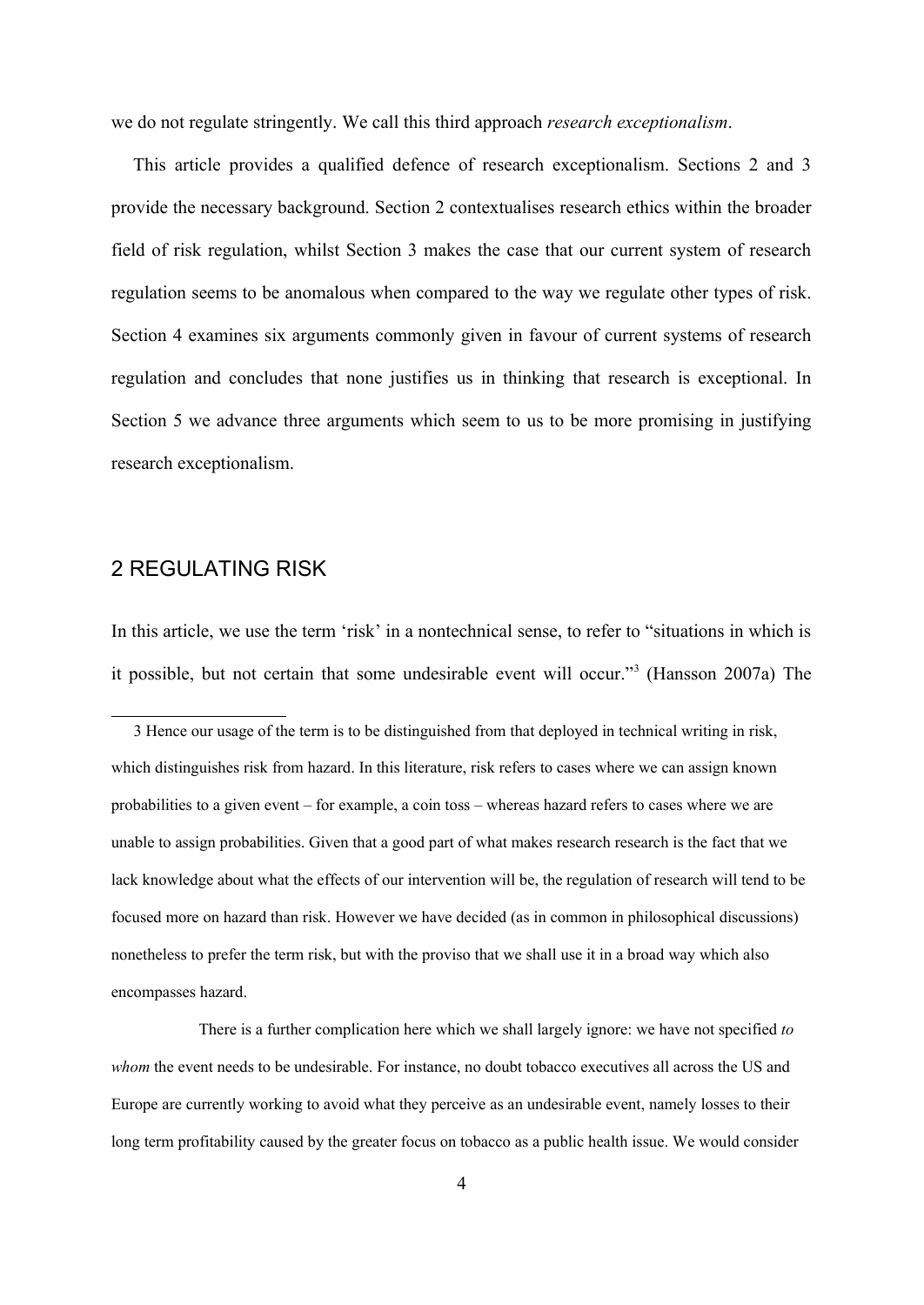we do not regulate stringently. We call this third approach *research exceptionalism*.

This article provides a qualified defence of research exceptionalism. Sections 2 and 3 provide the necessary background. Section 2 contextualises research ethics within the broader field of risk regulation, whilst Section 3 makes the case that our current system of research regulation seems to be anomalous when compared to the way we regulate other types of risk. Section 4 examines six arguments commonly given in favour of current systems of research regulation and concludes that none justifies us in thinking that research is exceptional. In Section 5 we advance three arguments which seem to us to be more promising in justifying research exceptionalism.

## 2 REGULATING RISK

In this article, we use the term 'risk' in a nontechnical sense, to refer to "situations in which is it possible, but not certain that some undesirable event will occur."[3](#page-3-0) (Hansson 2007a) The

<span id="page-3-0"></span><sup>3</sup> Hence our usage of the term is to be distinguished from that deployed in technical writing in risk, which distinguishes risk from hazard. In this literature, risk refers to cases where we can assign known probabilities to a given event – for example, a coin toss – whereas hazard refers to cases where we are unable to assign probabilities. Given that a good part of what makes research research is the fact that we lack knowledge about what the effects of our intervention will be, the regulation of research will tend to be focused more on hazard than risk. However we have decided (as in common in philosophical discussions) nonetheless to prefer the term risk, but with the proviso that we shall use it in a broad way which also encompasses hazard.

There is a further complication here which we shall largely ignore: we have not specified *to whom* the event needs to be undesirable. For instance, no doubt tobacco executives all across the US and Europe are currently working to avoid what they perceive as an undesirable event, namely losses to their long term profitability caused by the greater focus on tobacco as a public health issue. We would consider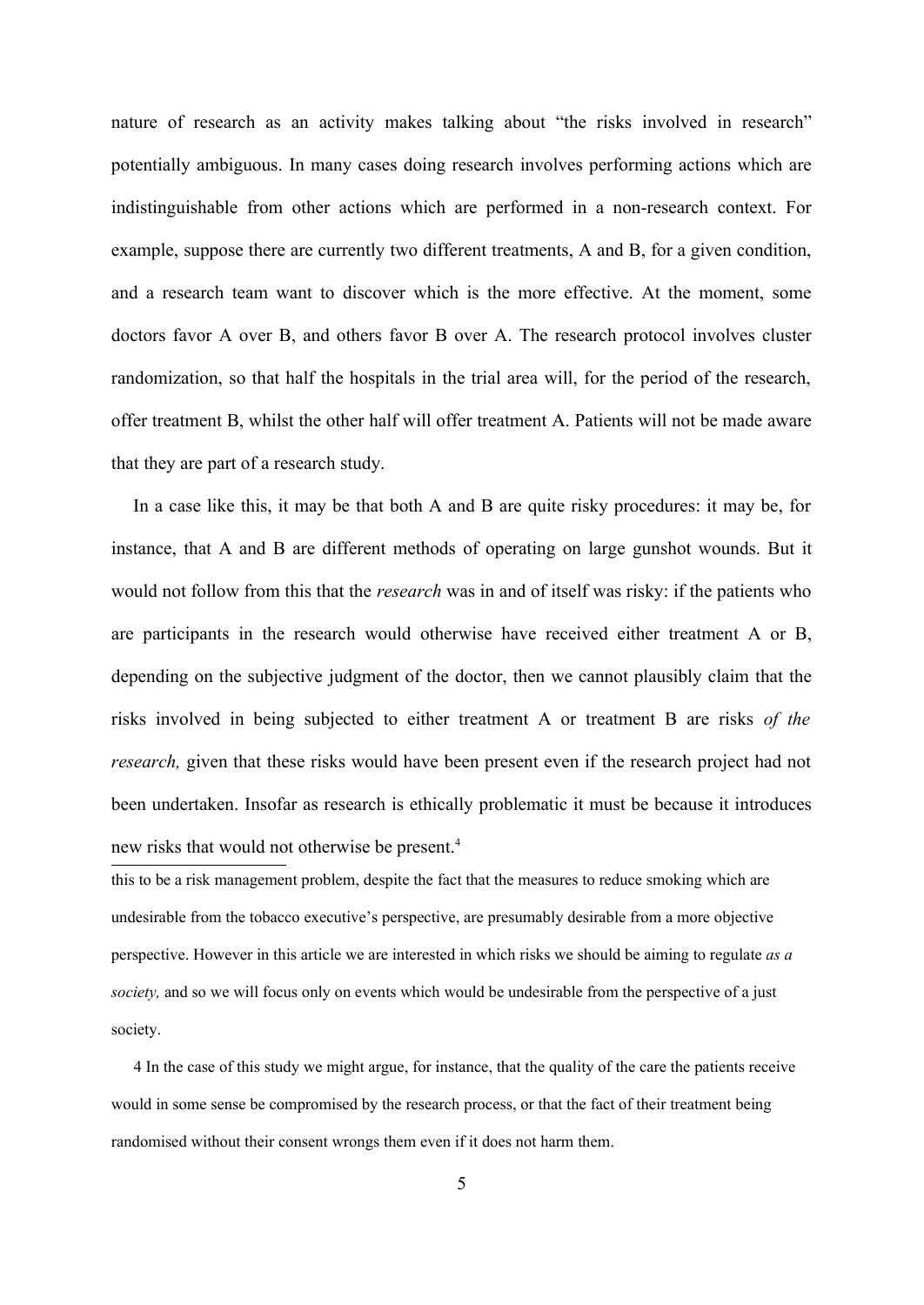nature of research as an activity makes talking about "the risks involved in research" potentially ambiguous. In many cases doing research involves performing actions which are indistinguishable from other actions which are performed in a non-research context. For example, suppose there are currently two different treatments, A and B, for a given condition, and a research team want to discover which is the more effective. At the moment, some doctors favor A over B, and others favor B over A. The research protocol involves cluster randomization, so that half the hospitals in the trial area will, for the period of the research, offer treatment B, whilst the other half will offer treatment A. Patients will not be made aware that they are part of a research study.

In a case like this, it may be that both A and B are quite risky procedures: it may be, for instance, that A and B are different methods of operating on large gunshot wounds. But it would not follow from this that the *research* was in and of itself was risky: if the patients who are participants in the research would otherwise have received either treatment A or B, depending on the subjective judgment of the doctor, then we cannot plausibly claim that the risks involved in being subjected to either treatment A or treatment B are risks *of the research*, given that these risks would have been present even if the research project had not been undertaken. Insofar as research is ethically problematic it must be because it introduces new risks that would not otherwise be present.<sup>[4](#page-4-0)</sup>

this to be a risk management problem, despite the fact that the measures to reduce smoking which are undesirable from the tobacco executive's perspective, are presumably desirable from a more objective perspective. However in this article we are interested in which risks we should be aiming to regulate *as a society,* and so we will focus only on events which would be undesirable from the perspective of a just society.

<span id="page-4-0"></span>4 In the case of this study we might argue, for instance, that the quality of the care the patients receive would in some sense be compromised by the research process, or that the fact of their treatment being randomised without their consent wrongs them even if it does not harm them.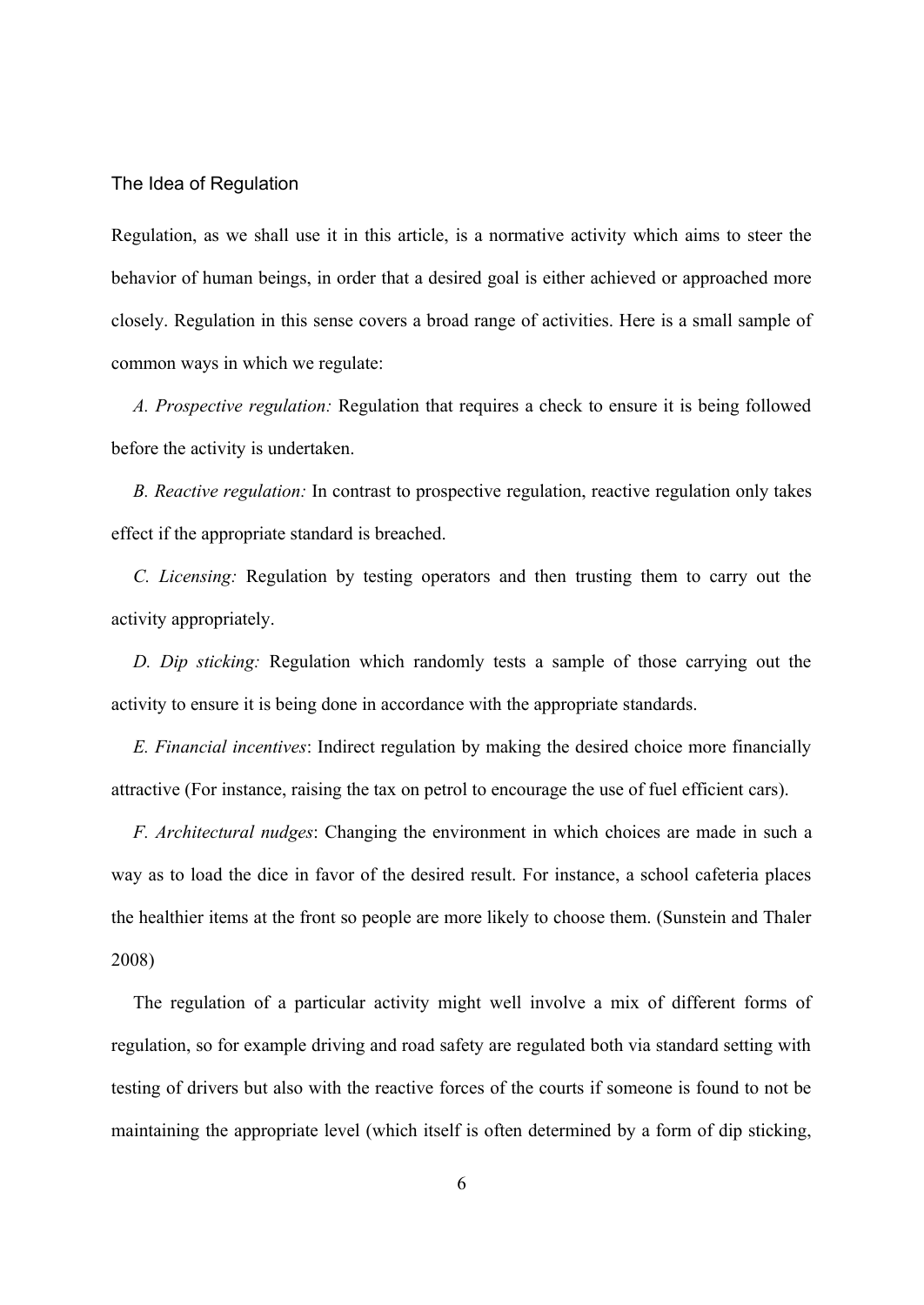#### The Idea of Regulation

Regulation, as we shall use it in this article, is a normative activity which aims to steer the behavior of human beings, in order that a desired goal is either achieved or approached more closely. Regulation in this sense covers a broad range of activities. Here is a small sample of common ways in which we regulate:

*A. Prospective regulation:* Regulation that requires a check to ensure it is being followed before the activity is undertaken.

*B. Reactive regulation:* In contrast to prospective regulation, reactive regulation only takes effect if the appropriate standard is breached.

*C. Licensing:* Regulation by testing operators and then trusting them to carry out the activity appropriately.

*D. Dip sticking:* Regulation which randomly tests a sample of those carrying out the activity to ensure it is being done in accordance with the appropriate standards.

*E. Financial incentives*: Indirect regulation by making the desired choice more financially attractive (For instance, raising the tax on petrol to encourage the use of fuel efficient cars).

*F. Architectural nudges*: Changing the environment in which choices are made in such a way as to load the dice in favor of the desired result. For instance, a school cafeteria places the healthier items at the front so people are more likely to choose them. (Sunstein and Thaler 2008)

The regulation of a particular activity might well involve a mix of different forms of regulation, so for example driving and road safety are regulated both via standard setting with testing of drivers but also with the reactive forces of the courts if someone is found to not be maintaining the appropriate level (which itself is often determined by a form of dip sticking,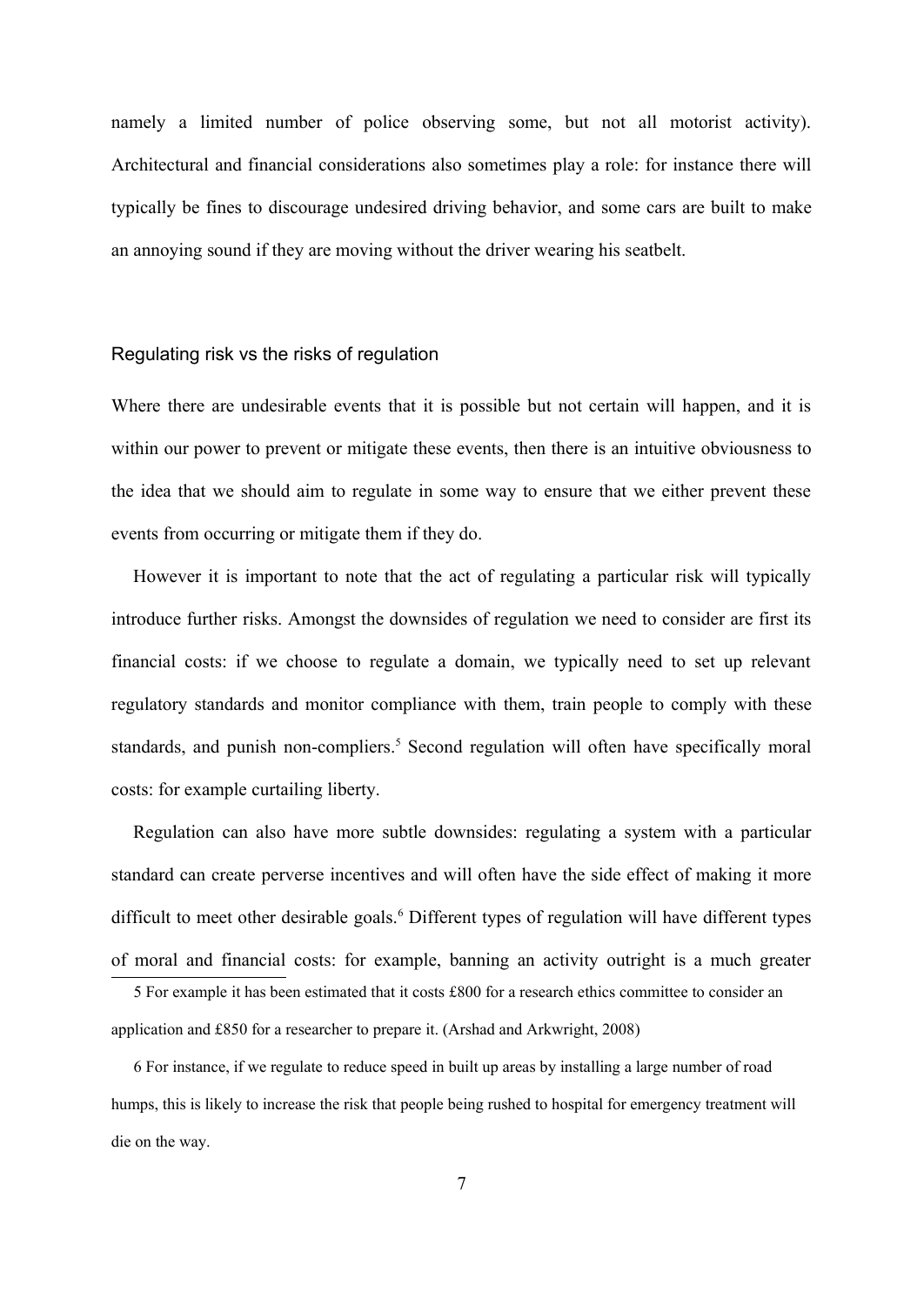namely a limited number of police observing some, but not all motorist activity). Architectural and financial considerations also sometimes play a role: for instance there will typically be fines to discourage undesired driving behavior, and some cars are built to make an annoying sound if they are moving without the driver wearing his seatbelt.

#### Regulating risk vs the risks of regulation

Where there are undesirable events that it is possible but not certain will happen, and it is within our power to prevent or mitigate these events, then there is an intuitive obviousness to the idea that we should aim to regulate in some way to ensure that we either prevent these events from occurring or mitigate them if they do.

However it is important to note that the act of regulating a particular risk will typically introduce further risks. Amongst the downsides of regulation we need to consider are first its financial costs: if we choose to regulate a domain, we typically need to set up relevant regulatory standards and monitor compliance with them, train people to comply with these standards, and punish non-compliers.<sup>[5](#page-6-0)</sup> Second regulation will often have specifically moral costs: for example curtailing liberty.

Regulation can also have more subtle downsides: regulating a system with a particular standard can create perverse incentives and will often have the side effect of making it more difficult to meet other desirable goals.<sup>[6](#page-6-1)</sup> Different types of regulation will have different types of moral and financial costs: for example, banning an activity outright is a much greater

<span id="page-6-1"></span>6 For instance, if we regulate to reduce speed in built up areas by installing a large number of road humps, this is likely to increase the risk that people being rushed to hospital for emergency treatment will die on the way.

<span id="page-6-0"></span><sup>5</sup> For example it has been estimated that it costs £800 for a research ethics committee to consider an application and £850 for a researcher to prepare it. (Arshad and Arkwright, 2008)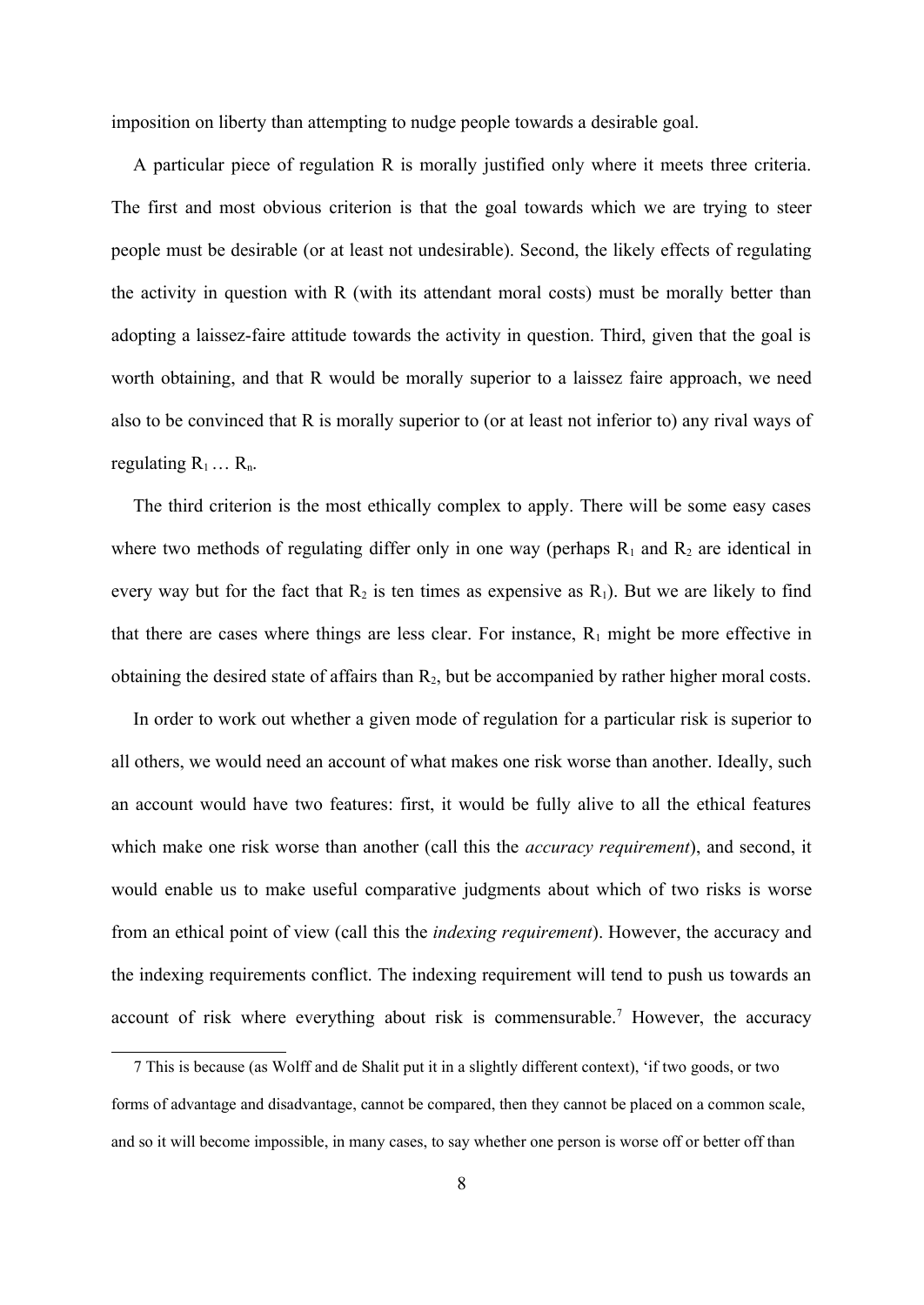imposition on liberty than attempting to nudge people towards a desirable goal.

A particular piece of regulation R is morally justified only where it meets three criteria. The first and most obvious criterion is that the goal towards which we are trying to steer people must be desirable (or at least not undesirable). Second, the likely effects of regulating the activity in question with R (with its attendant moral costs) must be morally better than adopting a laissez-faire attitude towards the activity in question. Third, given that the goal is worth obtaining, and that R would be morally superior to a laissez faire approach, we need also to be convinced that R is morally superior to (or at least not inferior to) any rival ways of regulating  $R_1 \ldots R_n$ .

The third criterion is the most ethically complex to apply. There will be some easy cases where two methods of regulating differ only in one way (perhaps  $R_1$  and  $R_2$  are identical in every way but for the fact that  $R_2$  is ten times as expensive as  $R_1$ ). But we are likely to find that there are cases where things are less clear. For instance,  $R_1$  might be more effective in obtaining the desired state of affairs than  $R_2$ , but be accompanied by rather higher moral costs.

In order to work out whether a given mode of regulation for a particular risk is superior to all others, we would need an account of what makes one risk worse than another. Ideally, such an account would have two features: first, it would be fully alive to all the ethical features which make one risk worse than another (call this the *accuracy requirement*), and second, it would enable us to make useful comparative judgments about which of two risks is worse from an ethical point of view (call this the *indexing requirement*). However, the accuracy and the indexing requirements conflict. The indexing requirement will tend to push us towards an account of risk where everything about risk is commensurable.<sup>[7](#page-7-0)</sup> However, the accuracy

<span id="page-7-0"></span><sup>7</sup> This is because (as Wolff and de Shalit put it in a slightly different context), 'if two goods, or two forms of advantage and disadvantage, cannot be compared, then they cannot be placed on a common scale, and so it will become impossible, in many cases, to say whether one person is worse off or better off than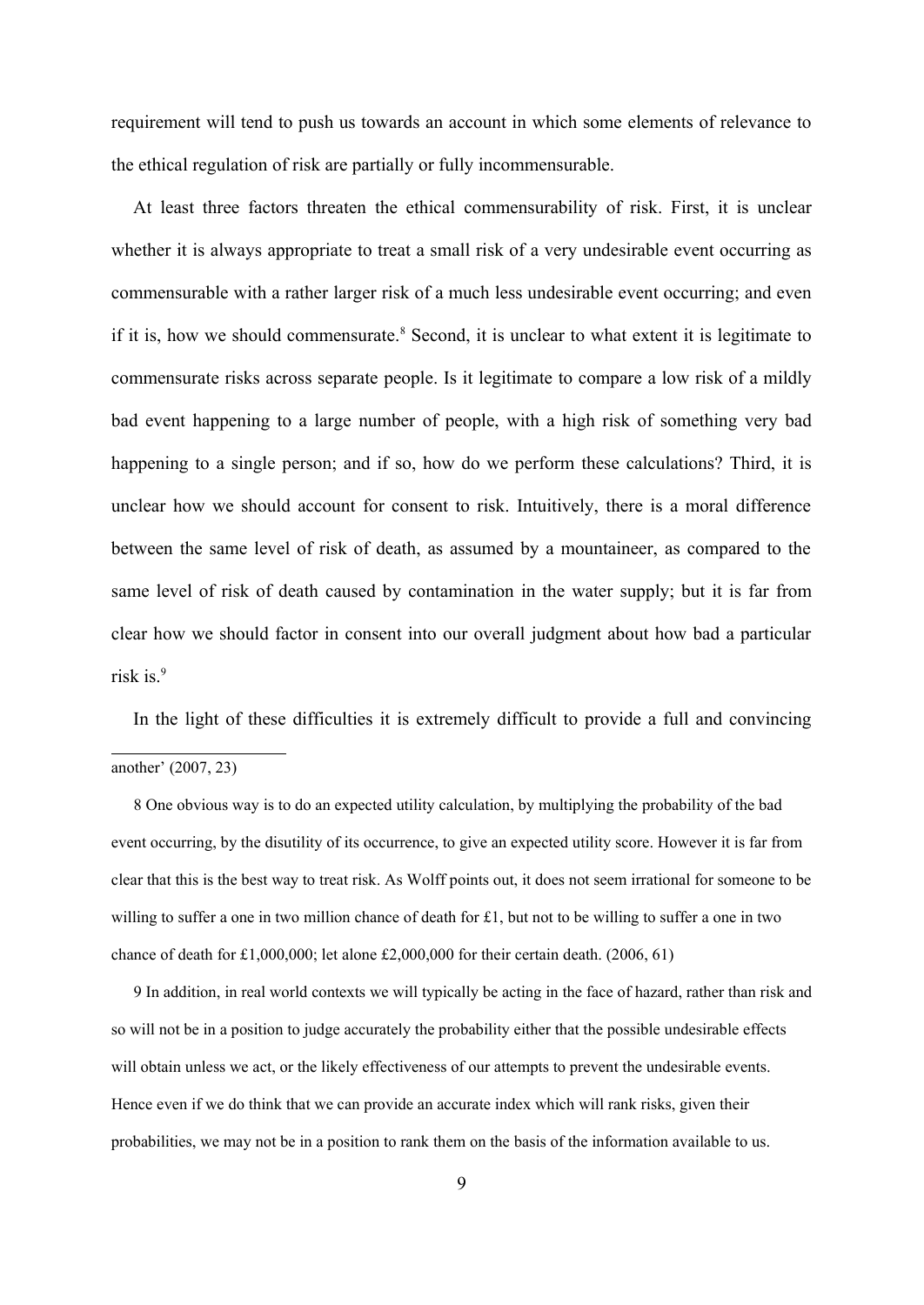requirement will tend to push us towards an account in which some elements of relevance to the ethical regulation of risk are partially or fully incommensurable.

At least three factors threaten the ethical commensurability of risk. First, it is unclear whether it is always appropriate to treat a small risk of a very undesirable event occurring as commensurable with a rather larger risk of a much less undesirable event occurring; and even if it is, how we should commensurate.<sup>[8](#page-8-0)</sup> Second, it is unclear to what extent it is legitimate to commensurate risks across separate people. Is it legitimate to compare a low risk of a mildly bad event happening to a large number of people, with a high risk of something very bad happening to a single person; and if so, how do we perform these calculations? Third, it is unclear how we should account for consent to risk. Intuitively, there is a moral difference between the same level of risk of death, as assumed by a mountaineer, as compared to the same level of risk of death caused by contamination in the water supply; but it is far from clear how we should factor in consent into our overall judgment about how bad a particular risk is.<sup>[9](#page-8-1)</sup>

In the light of these difficulties it is extremely difficult to provide a full and convincing

<span id="page-8-0"></span>8 One obvious way is to do an expected utility calculation, by multiplying the probability of the bad event occurring, by the disutility of its occurrence, to give an expected utility score. However it is far from clear that this is the best way to treat risk. As Wolff points out, it does not seem irrational for someone to be willing to suffer a one in two million chance of death for £1, but not to be willing to suffer a one in two chance of death for  $£1,000,000$ ; let alone  $£2,000,000$  for their certain death. (2006, 61)

<span id="page-8-1"></span>9 In addition, in real world contexts we will typically be acting in the face of hazard, rather than risk and so will not be in a position to judge accurately the probability either that the possible undesirable effects will obtain unless we act, or the likely effectiveness of our attempts to prevent the undesirable events. Hence even if we do think that we can provide an accurate index which will rank risks, given their probabilities, we may not be in a position to rank them on the basis of the information available to us.

another' (2007, 23)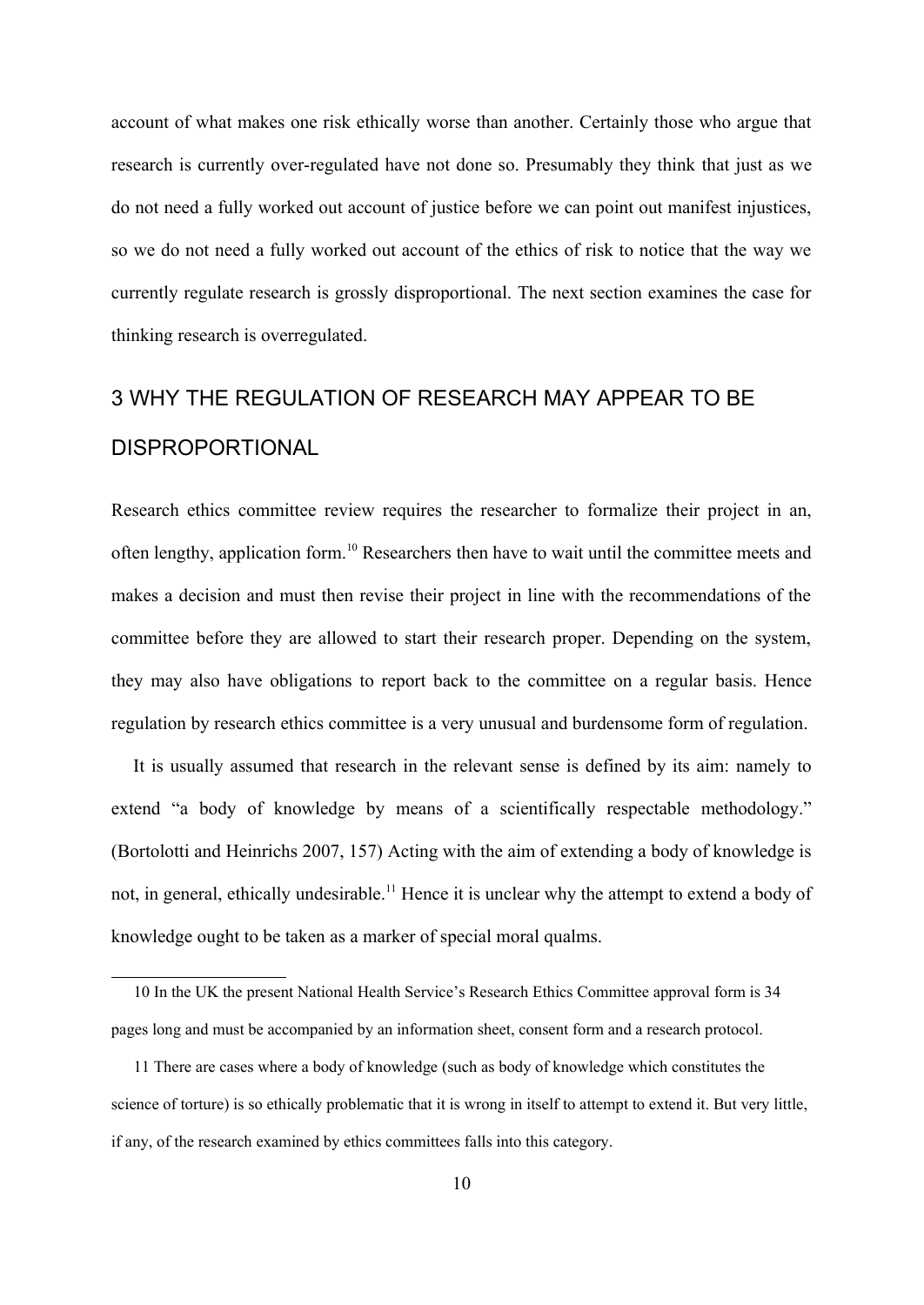account of what makes one risk ethically worse than another. Certainly those who argue that research is currently over-regulated have not done so. Presumably they think that just as we do not need a fully worked out account of justice before we can point out manifest injustices, so we do not need a fully worked out account of the ethics of risk to notice that the way we currently regulate research is grossly disproportional. The next section examines the case for thinking research is overregulated.

# 3 WHY THE REGULATION OF RESEARCH MAY APPEAR TO BE DISPROPORTIONAL

Research ethics committee review requires the researcher to formalize their project in an, often lengthy, application form.[10](#page-9-0) Researchers then have to wait until the committee meets and makes a decision and must then revise their project in line with the recommendations of the committee before they are allowed to start their research proper. Depending on the system, they may also have obligations to report back to the committee on a regular basis. Hence regulation by research ethics committee is a very unusual and burdensome form of regulation.

It is usually assumed that research in the relevant sense is defined by its aim: namely to extend "a body of knowledge by means of a scientifically respectable methodology." (Bortolotti and Heinrichs 2007, 157) Acting with the aim of extending a body of knowledge is not, in general, ethically undesirable.<sup>[11](#page-9-1)</sup> Hence it is unclear why the attempt to extend a body of knowledge ought to be taken as a marker of special moral qualms.

<span id="page-9-0"></span><sup>10</sup> In the UK the present National Health Service's Research Ethics Committee approval form is 34 pages long and must be accompanied by an information sheet, consent form and a research protocol.

<span id="page-9-1"></span><sup>11</sup> There are cases where a body of knowledge (such as body of knowledge which constitutes the science of torture) is so ethically problematic that it is wrong in itself to attempt to extend it. But very little, if any, of the research examined by ethics committees falls into this category.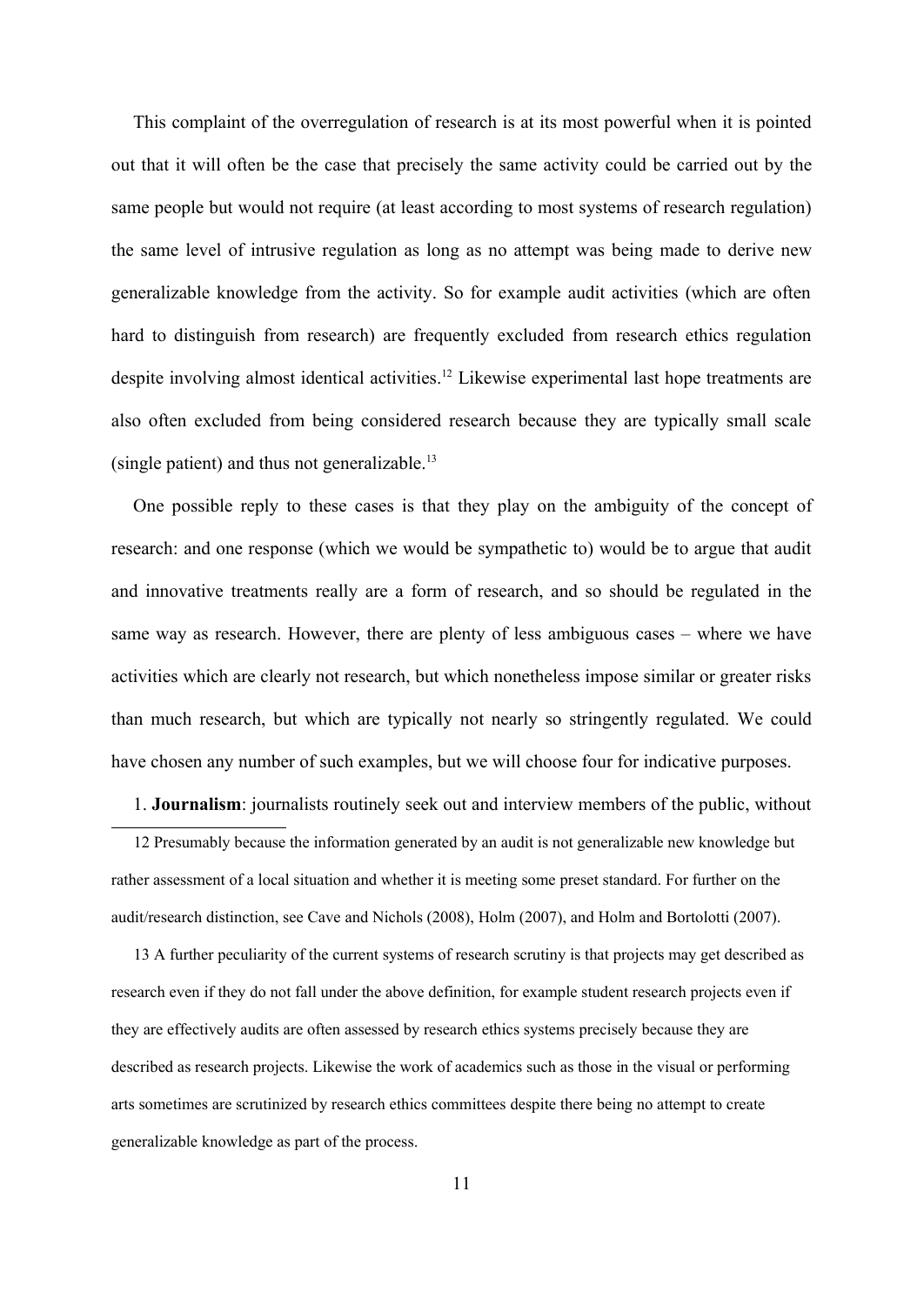This complaint of the overregulation of research is at its most powerful when it is pointed out that it will often be the case that precisely the same activity could be carried out by the same people but would not require (at least according to most systems of research regulation) the same level of intrusive regulation as long as no attempt was being made to derive new generalizable knowledge from the activity. So for example audit activities (which are often hard to distinguish from research) are frequently excluded from research ethics regulation despite involving almost identical activities.<sup>[12](#page-10-0)</sup> Likewise experimental last hope treatments are also often excluded from being considered research because they are typically small scale (single patient) and thus not generalizable.[13](#page-10-1)

One possible reply to these cases is that they play on the ambiguity of the concept of research: and one response (which we would be sympathetic to) would be to argue that audit and innovative treatments really are a form of research, and so should be regulated in the same way as research. However, there are plenty of less ambiguous cases – where we have activities which are clearly not research, but which nonetheless impose similar or greater risks than much research, but which are typically not nearly so stringently regulated. We could have chosen any number of such examples, but we will choose four for indicative purposes.

1. **Journalism**: journalists routinely seek out and interview members of the public, without

<span id="page-10-0"></span>12 Presumably because the information generated by an audit is not generalizable new knowledge but rather assessment of a local situation and whether it is meeting some preset standard. For further on the audit/research distinction, see Cave and Nichols (2008), Holm (2007), and Holm and Bortolotti (2007).

<span id="page-10-1"></span>13 A further peculiarity of the current systems of research scrutiny is that projects may get described as research even if they do not fall under the above definition, for example student research projects even if they are effectively audits are often assessed by research ethics systems precisely because they are described as research projects. Likewise the work of academics such as those in the visual or performing arts sometimes are scrutinized by research ethics committees despite there being no attempt to create generalizable knowledge as part of the process.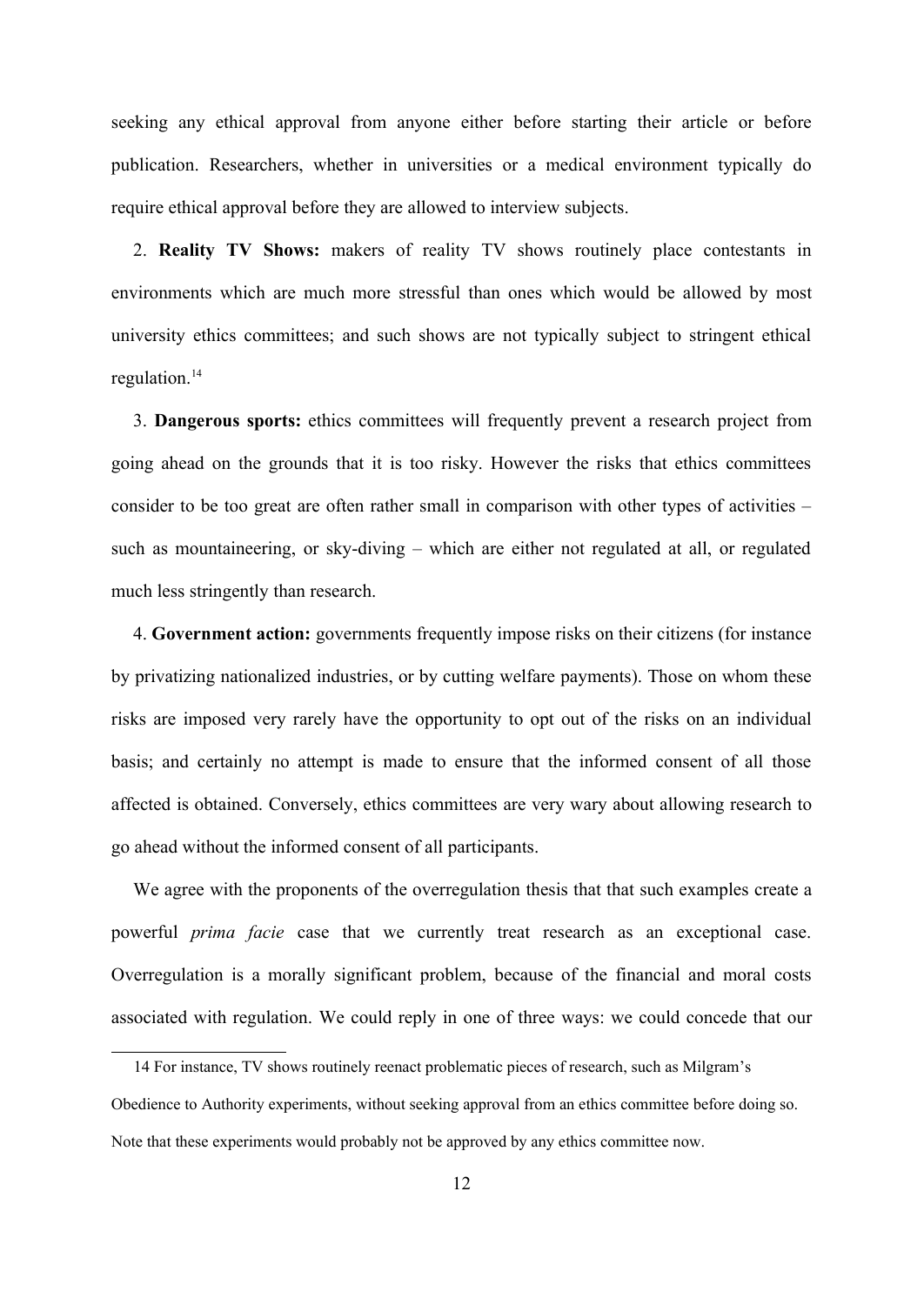seeking any ethical approval from anyone either before starting their article or before publication. Researchers, whether in universities or a medical environment typically do require ethical approval before they are allowed to interview subjects.

2. **Reality TV Shows:** makers of reality TV shows routinely place contestants in environments which are much more stressful than ones which would be allowed by most university ethics committees; and such shows are not typically subject to stringent ethical regulation.[14](#page-11-0)

3. **Dangerous sports:** ethics committees will frequently prevent a research project from going ahead on the grounds that it is too risky. However the risks that ethics committees consider to be too great are often rather small in comparison with other types of activities – such as mountaineering, or sky-diving – which are either not regulated at all, or regulated much less stringently than research.

4. **Government action:** governments frequently impose risks on their citizens (for instance by privatizing nationalized industries, or by cutting welfare payments). Those on whom these risks are imposed very rarely have the opportunity to opt out of the risks on an individual basis; and certainly no attempt is made to ensure that the informed consent of all those affected is obtained. Conversely, ethics committees are very wary about allowing research to go ahead without the informed consent of all participants.

We agree with the proponents of the overregulation thesis that that such examples create a powerful *prima facie* case that we currently treat research as an exceptional case. Overregulation is a morally significant problem, because of the financial and moral costs associated with regulation. We could reply in one of three ways: we could concede that our

<span id="page-11-0"></span><sup>14</sup> For instance, TV shows routinely reenact problematic pieces of research, such as Milgram's Obedience to Authority experiments, without seeking approval from an ethics committee before doing so. Note that these experiments would probably not be approved by any ethics committee now.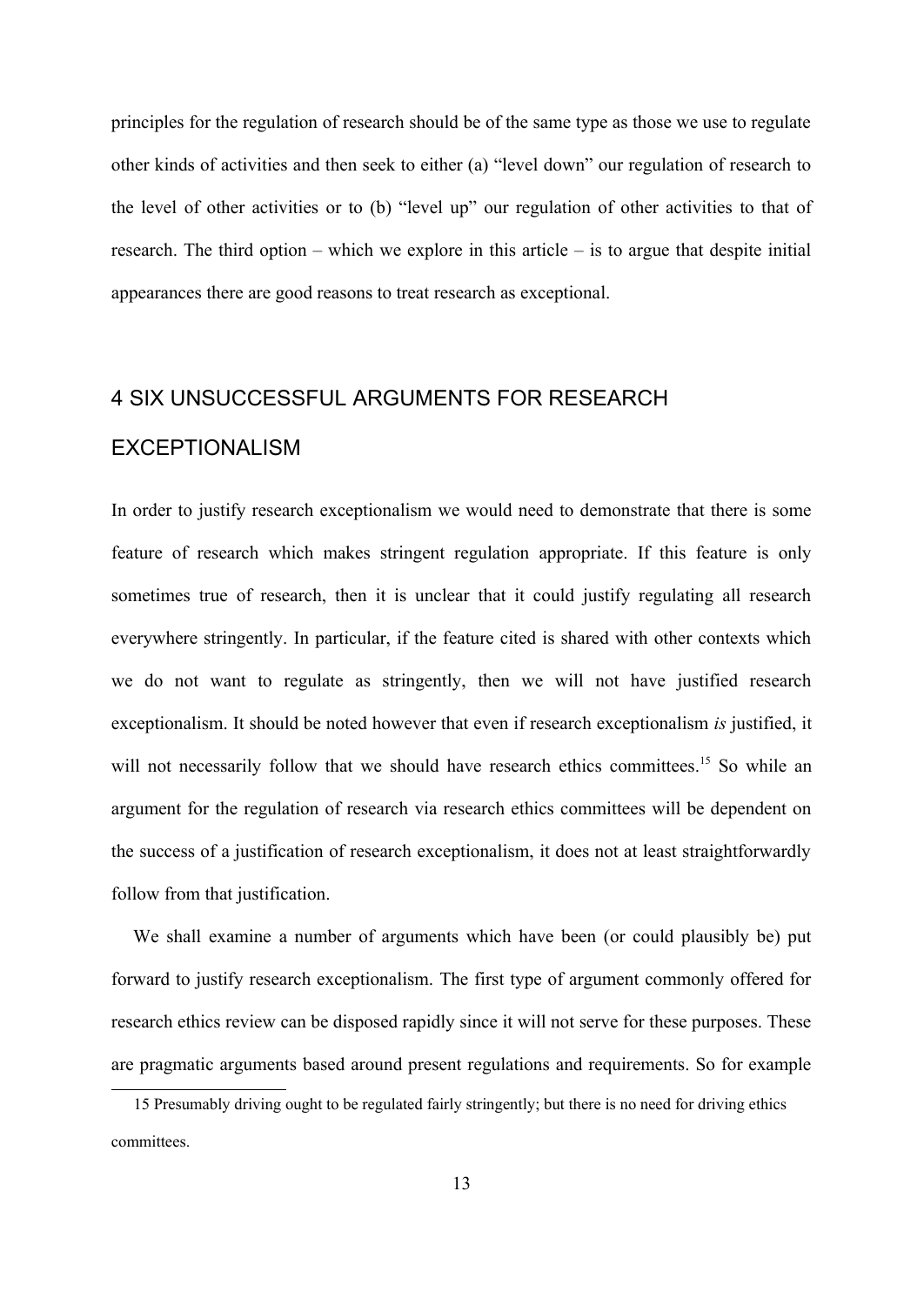principles for the regulation of research should be of the same type as those we use to regulate other kinds of activities and then seek to either (a) "level down" our regulation of research to the level of other activities or to (b) "level up" our regulation of other activities to that of research. The third option – which we explore in this article – is to argue that despite initial appearances there are good reasons to treat research as exceptional.

# 4 SIX UNSUCCESSFUL ARGUMENTS FOR RESEARCH EXCEPTIONALISM

In order to justify research exceptionalism we would need to demonstrate that there is some feature of research which makes stringent regulation appropriate. If this feature is only sometimes true of research, then it is unclear that it could justify regulating all research everywhere stringently. In particular, if the feature cited is shared with other contexts which we do not want to regulate as stringently, then we will not have justified research exceptionalism. It should be noted however that even if research exceptionalism *is* justified, it will not necessarily follow that we should have research ethics committees.<sup>[15](#page-12-0)</sup> So while an argument for the regulation of research via research ethics committees will be dependent on the success of a justification of research exceptionalism, it does not at least straightforwardly follow from that justification.

We shall examine a number of arguments which have been (or could plausibly be) put forward to justify research exceptionalism. The first type of argument commonly offered for research ethics review can be disposed rapidly since it will not serve for these purposes. These are pragmatic arguments based around present regulations and requirements. So for example

<span id="page-12-0"></span><sup>15</sup> Presumably driving ought to be regulated fairly stringently; but there is no need for driving ethics committees.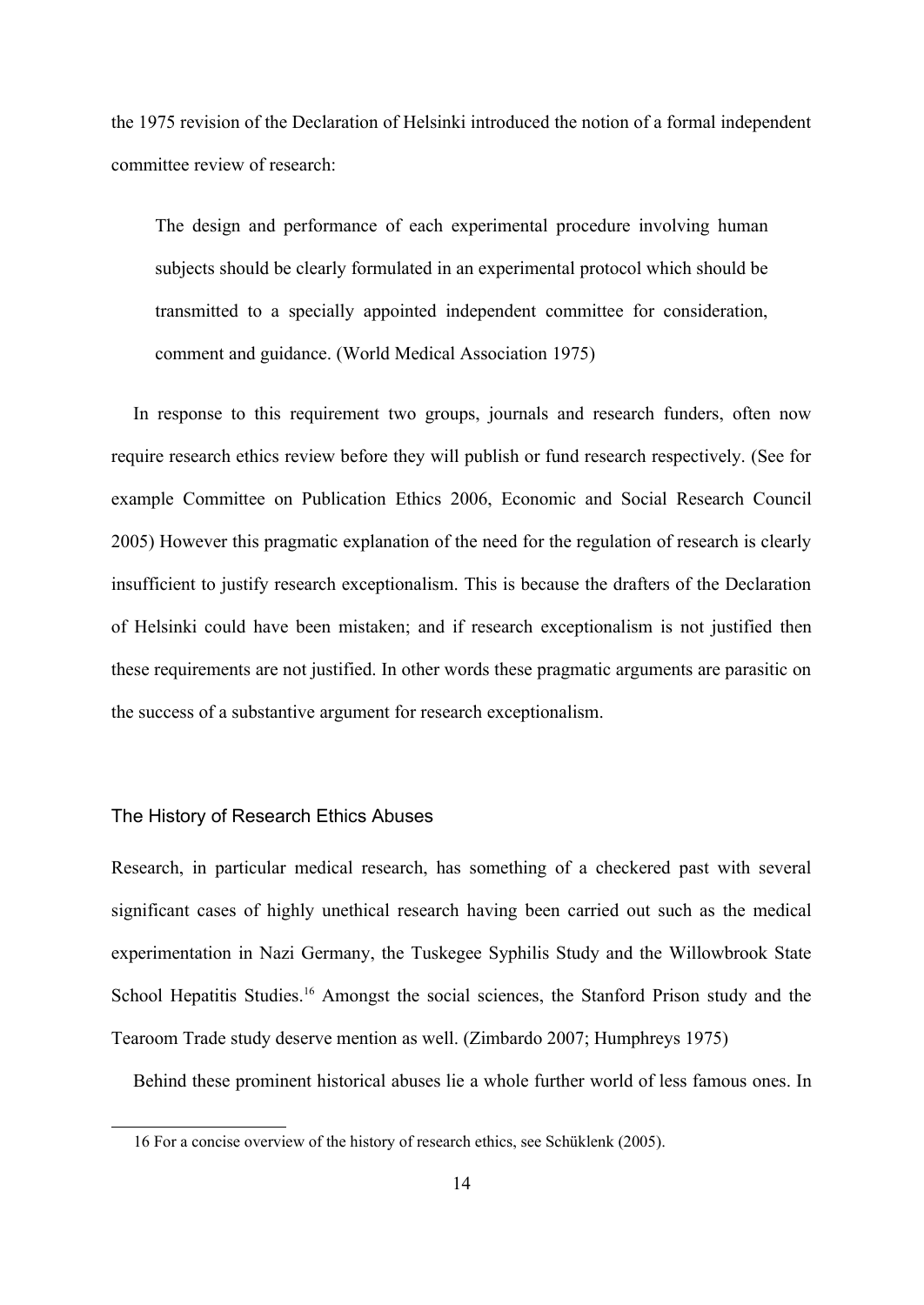the 1975 revision of the Declaration of Helsinki introduced the notion of a formal independent committee review of research:

The design and performance of each experimental procedure involving human subjects should be clearly formulated in an experimental protocol which should be transmitted to a specially appointed independent committee for consideration, comment and guidance. (World Medical Association 1975)

In response to this requirement two groups, journals and research funders, often now require research ethics review before they will publish or fund research respectively. (See for example Committee on Publication Ethics 2006, Economic and Social Research Council 2005) However this pragmatic explanation of the need for the regulation of research is clearly insufficient to justify research exceptionalism. This is because the drafters of the Declaration of Helsinki could have been mistaken; and if research exceptionalism is not justified then these requirements are not justified. In other words these pragmatic arguments are parasitic on the success of a substantive argument for research exceptionalism.

#### The History of Research Ethics Abuses

Research, in particular medical research, has something of a checkered past with several significant cases of highly unethical research having been carried out such as the medical experimentation in Nazi Germany, the Tuskegee Syphilis Study and the Willowbrook State School Hepatitis Studies.<sup>[16](#page-13-0)</sup> Amongst the social sciences, the Stanford Prison study and the Tearoom Trade study deserve mention as well. (Zimbardo 2007; Humphreys 1975)

Behind these prominent historical abuses lie a whole further world of less famous ones. In

<span id="page-13-0"></span><sup>16</sup> For a concise overview of the history of research ethics, see Schüklenk (2005).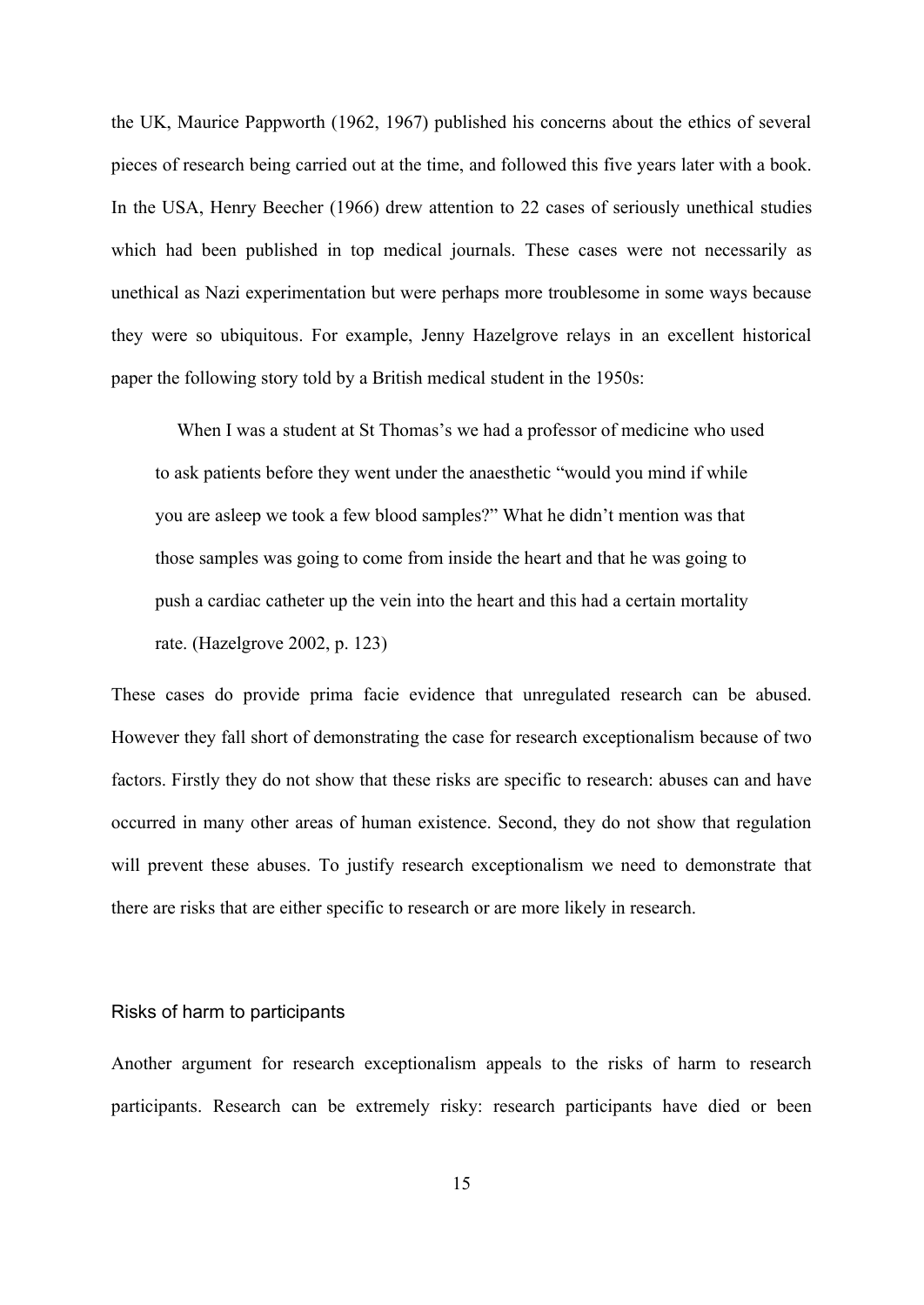the UK, Maurice Pappworth (1962, 1967) published his concerns about the ethics of several pieces of research being carried out at the time, and followed this five years later with a book. In the USA, Henry Beecher (1966) drew attention to 22 cases of seriously unethical studies which had been published in top medical journals. These cases were not necessarily as unethical as Nazi experimentation but were perhaps more troublesome in some ways because they were so ubiquitous. For example, Jenny Hazelgrove relays in an excellent historical paper the following story told by a British medical student in the 1950s:

When I was a student at St Thomas's we had a professor of medicine who used to ask patients before they went under the anaesthetic "would you mind if while you are asleep we took a few blood samples?" What he didn't mention was that those samples was going to come from inside the heart and that he was going to push a cardiac catheter up the vein into the heart and this had a certain mortality rate. (Hazelgrove 2002, p. 123)

These cases do provide prima facie evidence that unregulated research can be abused. However they fall short of demonstrating the case for research exceptionalism because of two factors. Firstly they do not show that these risks are specific to research: abuses can and have occurred in many other areas of human existence. Second, they do not show that regulation will prevent these abuses. To justify research exceptionalism we need to demonstrate that there are risks that are either specific to research or are more likely in research.

#### Risks of harm to participants

Another argument for research exceptionalism appeals to the risks of harm to research participants. Research can be extremely risky: research participants have died or been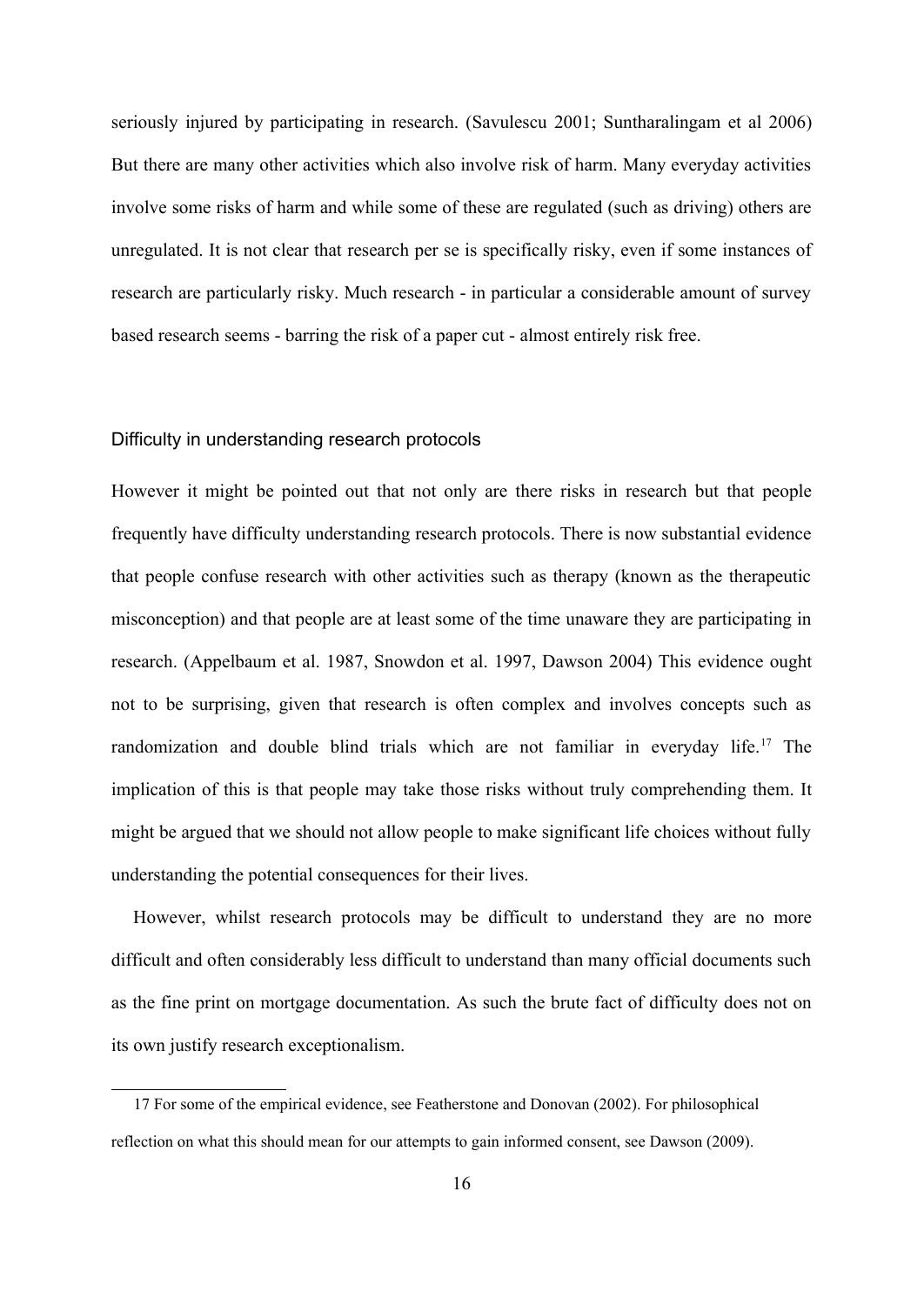seriously injured by participating in research. (Savulescu 2001; Suntharalingam et al 2006) But there are many other activities which also involve risk of harm. Many everyday activities involve some risks of harm and while some of these are regulated (such as driving) others are unregulated. It is not clear that research per se is specifically risky, even if some instances of research are particularly risky. Much research - in particular a considerable amount of survey based research seems - barring the risk of a paper cut - almost entirely risk free.

#### Difficulty in understanding research protocols

However it might be pointed out that not only are there risks in research but that people frequently have difficulty understanding research protocols. There is now substantial evidence that people confuse research with other activities such as therapy (known as the therapeutic misconception) and that people are at least some of the time unaware they are participating in research. (Appelbaum et al. 1987, Snowdon et al. 1997, Dawson 2004) This evidence ought not to be surprising, given that research is often complex and involves concepts such as randomization and double blind trials which are not familiar in everyday life.<sup>[17](#page-15-0)</sup> The implication of this is that people may take those risks without truly comprehending them. It might be argued that we should not allow people to make significant life choices without fully understanding the potential consequences for their lives.

However, whilst research protocols may be difficult to understand they are no more difficult and often considerably less difficult to understand than many official documents such as the fine print on mortgage documentation. As such the brute fact of difficulty does not on its own justify research exceptionalism.

<span id="page-15-0"></span><sup>17</sup> For some of the empirical evidence, see Featherstone and Donovan (2002). For philosophical reflection on what this should mean for our attempts to gain informed consent, see Dawson (2009).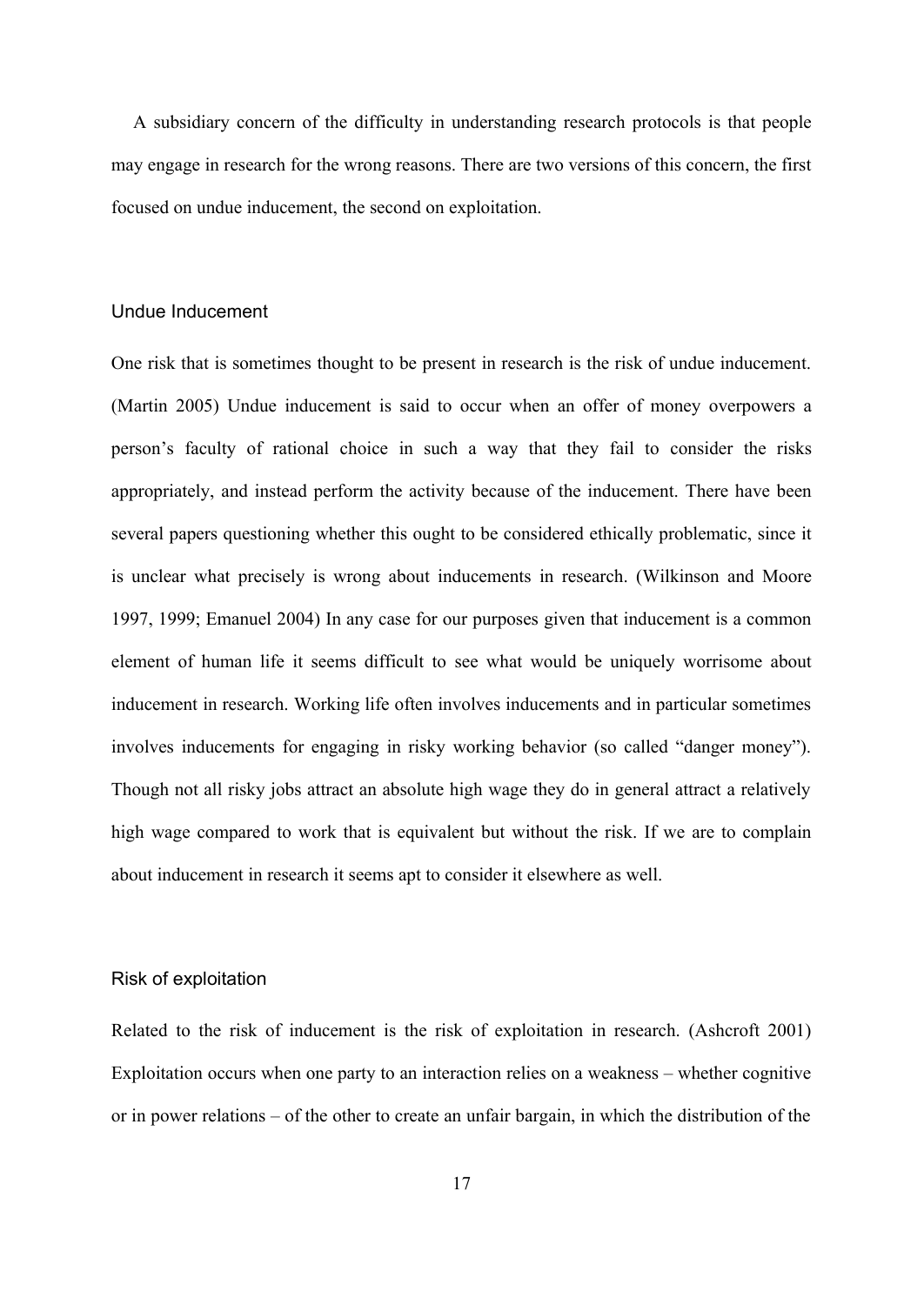A subsidiary concern of the difficulty in understanding research protocols is that people may engage in research for the wrong reasons. There are two versions of this concern, the first focused on undue inducement, the second on exploitation.

#### Undue Inducement

One risk that is sometimes thought to be present in research is the risk of undue inducement. (Martin 2005) Undue inducement is said to occur when an offer of money overpowers a person's faculty of rational choice in such a way that they fail to consider the risks appropriately, and instead perform the activity because of the inducement. There have been several papers questioning whether this ought to be considered ethically problematic, since it is unclear what precisely is wrong about inducements in research. (Wilkinson and Moore 1997, 1999; Emanuel 2004) In any case for our purposes given that inducement is a common element of human life it seems difficult to see what would be uniquely worrisome about inducement in research. Working life often involves inducements and in particular sometimes involves inducements for engaging in risky working behavior (so called "danger money"). Though not all risky jobs attract an absolute high wage they do in general attract a relatively high wage compared to work that is equivalent but without the risk. If we are to complain about inducement in research it seems apt to consider it elsewhere as well.

#### Risk of exploitation

Related to the risk of inducement is the risk of exploitation in research. (Ashcroft 2001) Exploitation occurs when one party to an interaction relies on a weakness – whether cognitive or in power relations – of the other to create an unfair bargain, in which the distribution of the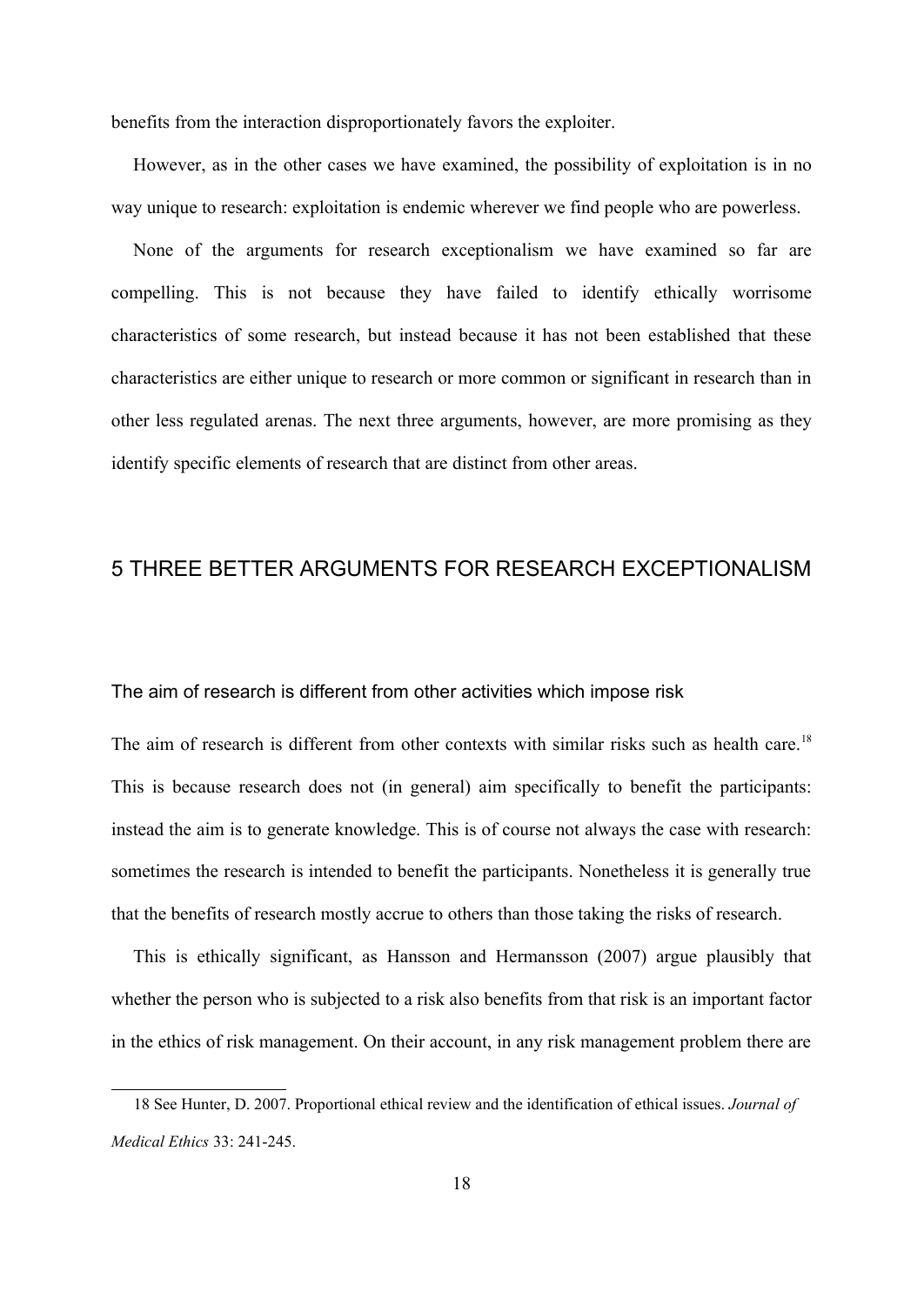benefits from the interaction disproportionately favors the exploiter.

However, as in the other cases we have examined, the possibility of exploitation is in no way unique to research: exploitation is endemic wherever we find people who are powerless.

None of the arguments for research exceptionalism we have examined so far are compelling. This is not because they have failed to identify ethically worrisome characteristics of some research, but instead because it has not been established that these characteristics are either unique to research or more common or significant in research than in other less regulated arenas. The next three arguments, however, are more promising as they identify specific elements of research that are distinct from other areas.

## 5 THREE BETTER ARGUMENTS FOR RESEARCH EXCEPTIONALISM

The aim of research is different from other activities which impose risk

The aim of research is different from other contexts with similar risks such as health care.<sup>[18](#page-17-0)</sup> This is because research does not (in general) aim specifically to benefit the participants: instead the aim is to generate knowledge. This is of course not always the case with research: sometimes the research is intended to benefit the participants. Nonetheless it is generally true that the benefits of research mostly accrue to others than those taking the risks of research.

This is ethically significant, as Hansson and Hermansson (2007) argue plausibly that whether the person who is subjected to a risk also benefits from that risk is an important factor in the ethics of risk management. On their account, in any risk management problem there are

<span id="page-17-0"></span><sup>18</sup> See Hunter, D. 2007. Proportional ethical review and the identification of ethical issues. *Journal of Medical Ethics* 33: 241-245.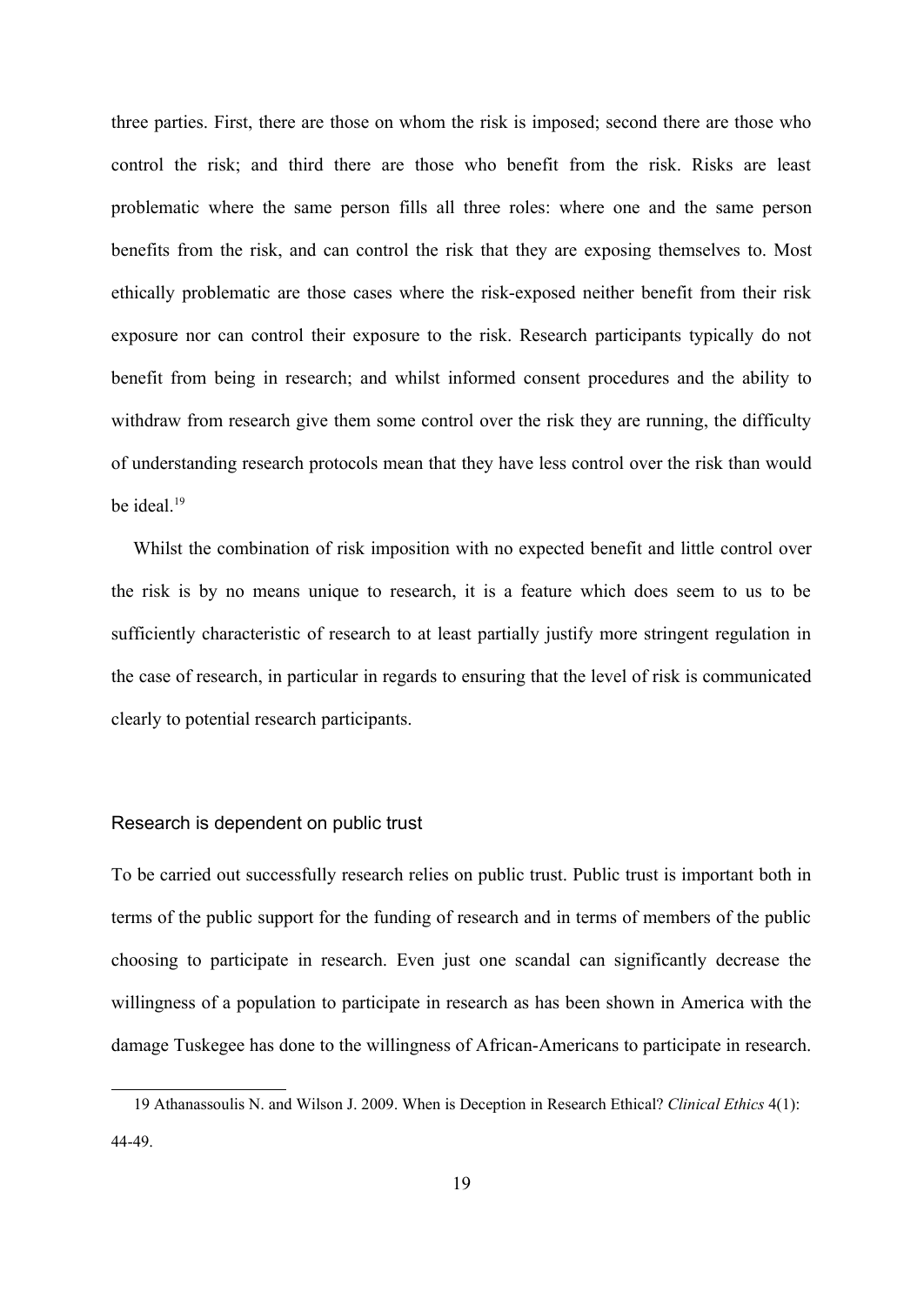three parties. First, there are those on whom the risk is imposed; second there are those who control the risk; and third there are those who benefit from the risk. Risks are least problematic where the same person fills all three roles: where one and the same person benefits from the risk, and can control the risk that they are exposing themselves to. Most ethically problematic are those cases where the risk-exposed neither benefit from their risk exposure nor can control their exposure to the risk. Research participants typically do not benefit from being in research; and whilst informed consent procedures and the ability to withdraw from research give them some control over the risk they are running, the difficulty of understanding research protocols mean that they have less control over the risk than would be ideal. $19$ 

Whilst the combination of risk imposition with no expected benefit and little control over the risk is by no means unique to research, it is a feature which does seem to us to be sufficiently characteristic of research to at least partially justify more stringent regulation in the case of research, in particular in regards to ensuring that the level of risk is communicated clearly to potential research participants.

#### Research is dependent on public trust

To be carried out successfully research relies on public trust. Public trust is important both in terms of the public support for the funding of research and in terms of members of the public choosing to participate in research. Even just one scandal can significantly decrease the willingness of a population to participate in research as has been shown in America with the damage Tuskegee has done to the willingness of African-Americans to participate in research.

<span id="page-18-0"></span><sup>19</sup> Athanassoulis N. and Wilson J. 2009. When is Deception in Research Ethical? *Clinical Ethics* 4(1): 44-49.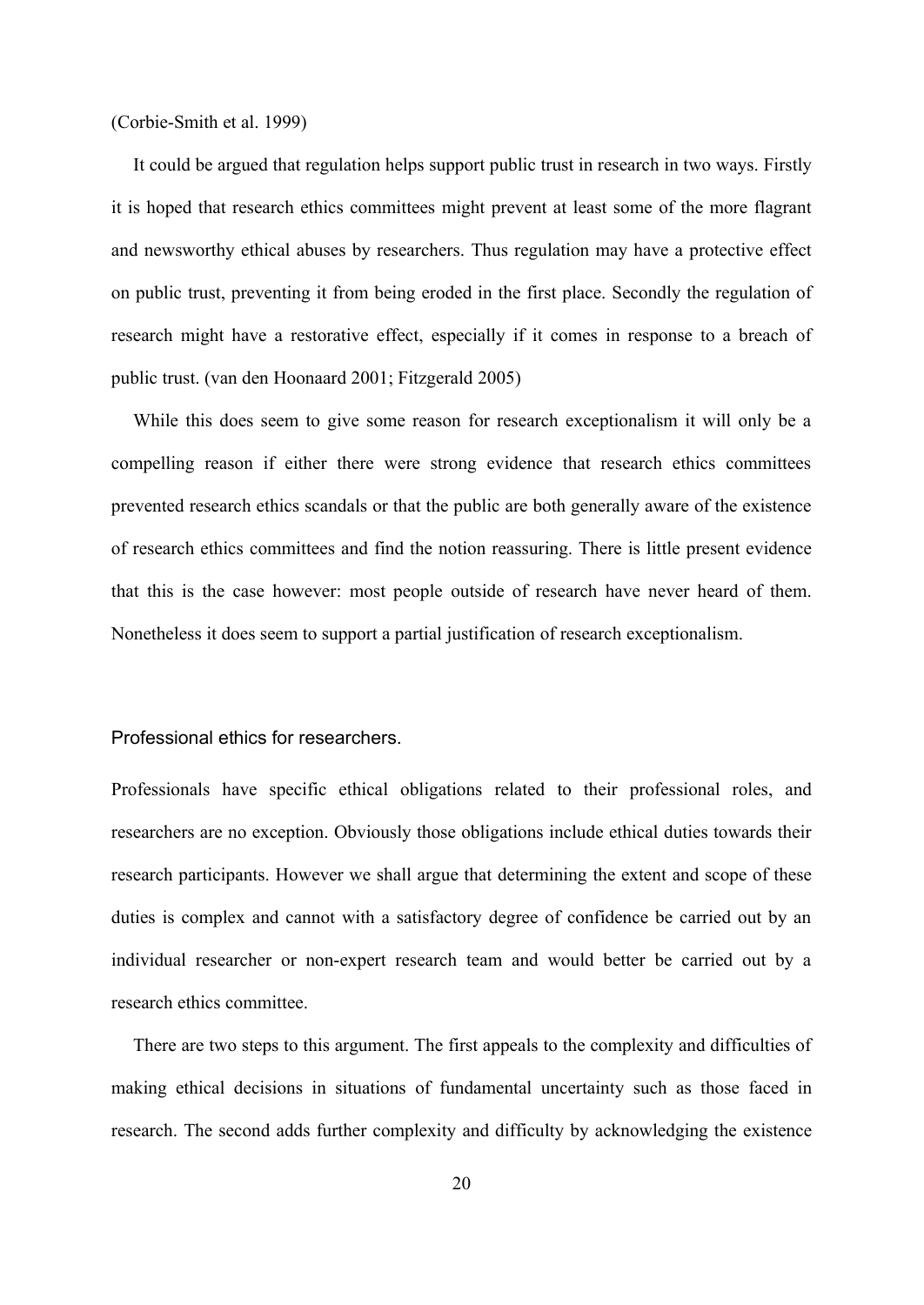#### (Corbie-Smith et al. 1999)

It could be argued that regulation helps support public trust in research in two ways. Firstly it is hoped that research ethics committees might prevent at least some of the more flagrant and newsworthy ethical abuses by researchers. Thus regulation may have a protective effect on public trust, preventing it from being eroded in the first place. Secondly the regulation of research might have a restorative effect, especially if it comes in response to a breach of public trust. (van den Hoonaard 2001; Fitzgerald 2005)

While this does seem to give some reason for research exceptionalism it will only be a compelling reason if either there were strong evidence that research ethics committees prevented research ethics scandals or that the public are both generally aware of the existence of research ethics committees and find the notion reassuring. There is little present evidence that this is the case however: most people outside of research have never heard of them. Nonetheless it does seem to support a partial justification of research exceptionalism.

#### Professional ethics for researchers.

Professionals have specific ethical obligations related to their professional roles, and researchers are no exception. Obviously those obligations include ethical duties towards their research participants. However we shall argue that determining the extent and scope of these duties is complex and cannot with a satisfactory degree of confidence be carried out by an individual researcher or non-expert research team and would better be carried out by a research ethics committee.

There are two steps to this argument. The first appeals to the complexity and difficulties of making ethical decisions in situations of fundamental uncertainty such as those faced in research. The second adds further complexity and difficulty by acknowledging the existence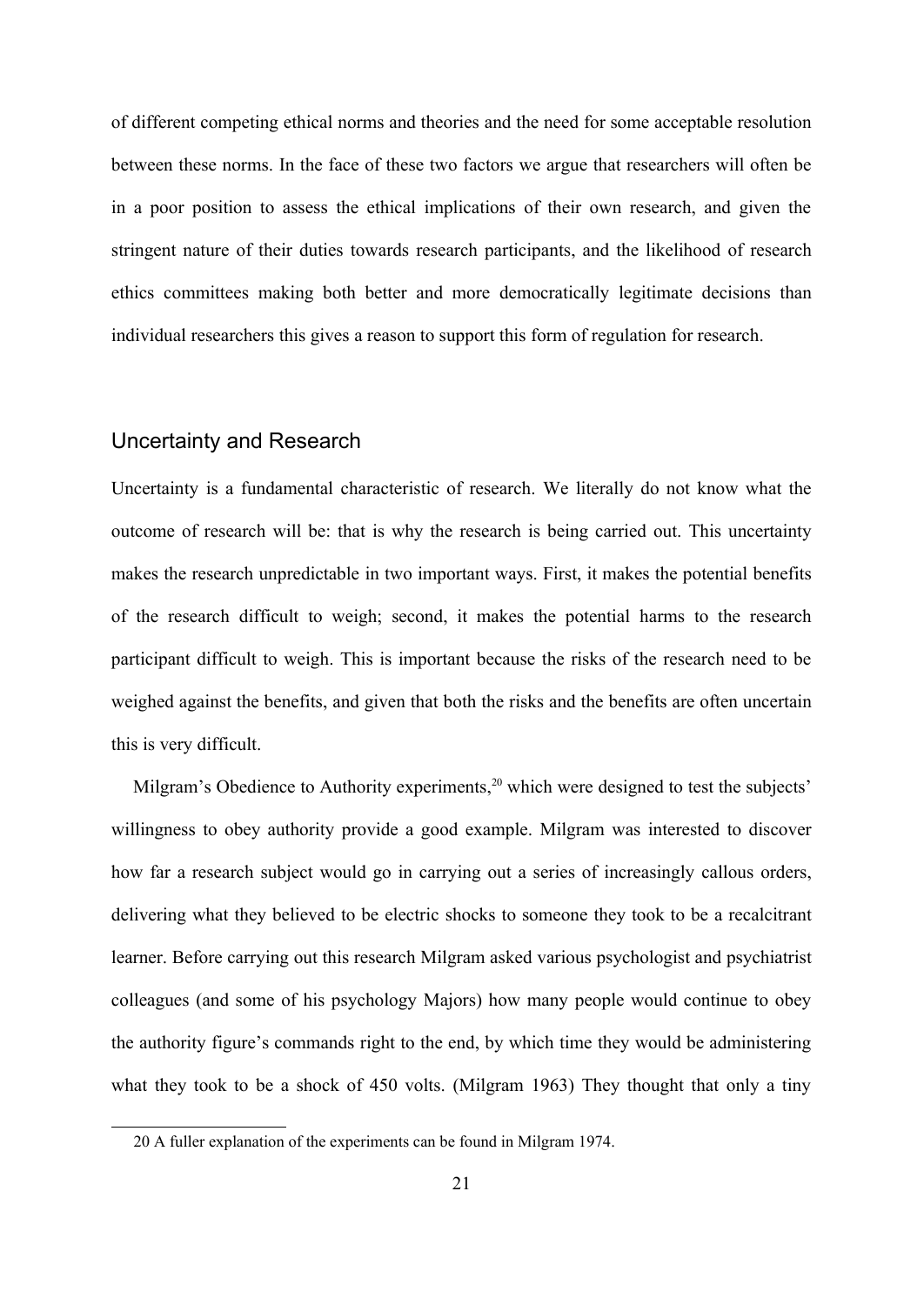of different competing ethical norms and theories and the need for some acceptable resolution between these norms. In the face of these two factors we argue that researchers will often be in a poor position to assess the ethical implications of their own research, and given the stringent nature of their duties towards research participants, and the likelihood of research ethics committees making both better and more democratically legitimate decisions than individual researchers this gives a reason to support this form of regulation for research.

## Uncertainty and Research

Uncertainty is a fundamental characteristic of research. We literally do not know what the outcome of research will be: that is why the research is being carried out. This uncertainty makes the research unpredictable in two important ways. First, it makes the potential benefits of the research difficult to weigh; second, it makes the potential harms to the research participant difficult to weigh. This is important because the risks of the research need to be weighed against the benefits, and given that both the risks and the benefits are often uncertain this is very difficult.

Milgram's Obedience to Authority experiments,<sup>[20](#page-20-0)</sup> which were designed to test the subjects' willingness to obey authority provide a good example. Milgram was interested to discover how far a research subject would go in carrying out a series of increasingly callous orders, delivering what they believed to be electric shocks to someone they took to be a recalcitrant learner. Before carrying out this research Milgram asked various psychologist and psychiatrist colleagues (and some of his psychology Majors) how many people would continue to obey the authority figure's commands right to the end, by which time they would be administering what they took to be a shock of 450 volts. (Milgram 1963) They thought that only a tiny

<span id="page-20-0"></span><sup>20</sup> A fuller explanation of the experiments can be found in Milgram 1974.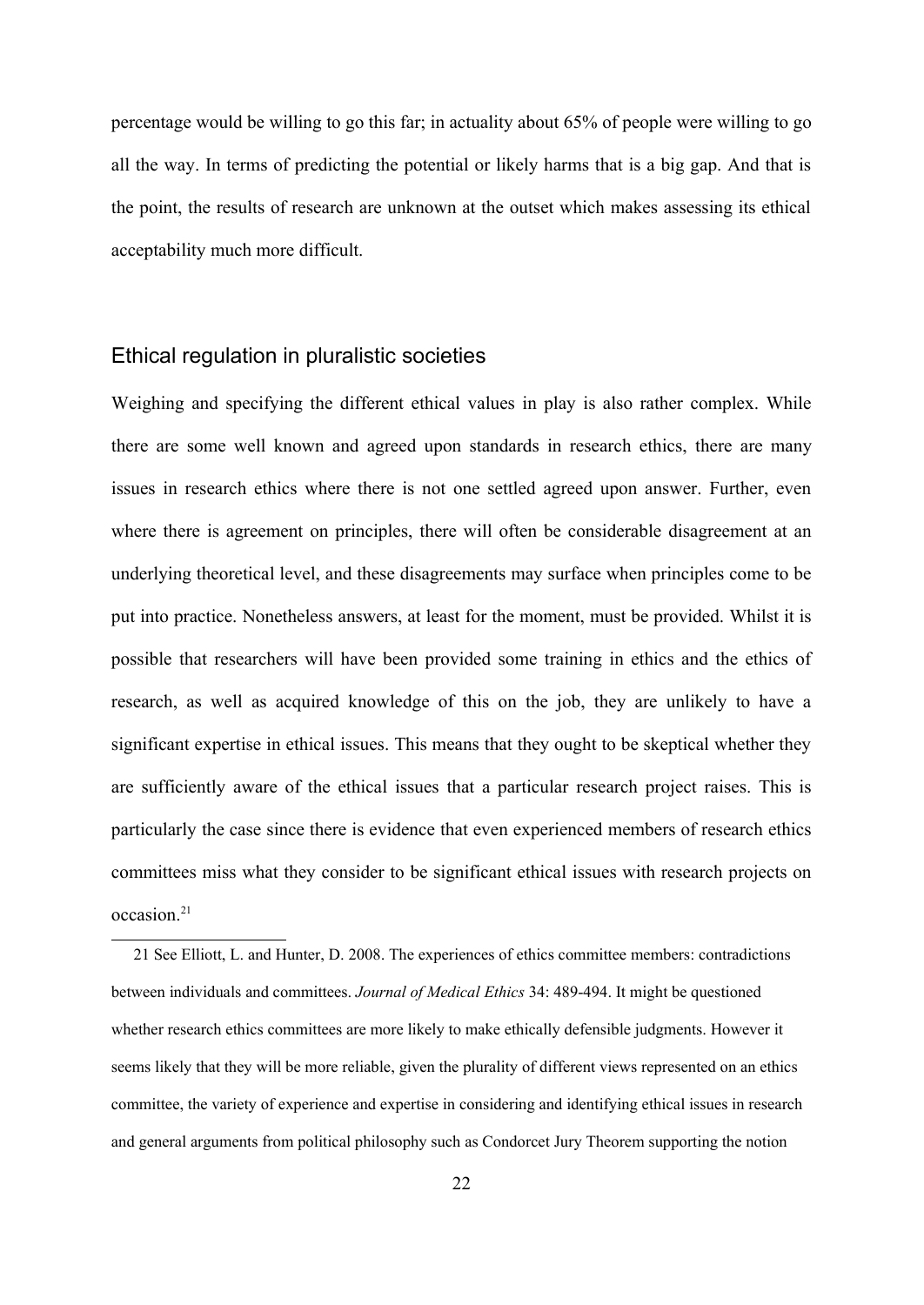percentage would be willing to go this far; in actuality about 65% of people were willing to go all the way. In terms of predicting the potential or likely harms that is a big gap. And that is the point, the results of research are unknown at the outset which makes assessing its ethical acceptability much more difficult.

#### Ethical regulation in pluralistic societies

Weighing and specifying the different ethical values in play is also rather complex. While there are some well known and agreed upon standards in research ethics, there are many issues in research ethics where there is not one settled agreed upon answer. Further, even where there is agreement on principles, there will often be considerable disagreement at an underlying theoretical level, and these disagreements may surface when principles come to be put into practice. Nonetheless answers, at least for the moment, must be provided. Whilst it is possible that researchers will have been provided some training in ethics and the ethics of research, as well as acquired knowledge of this on the job, they are unlikely to have a significant expertise in ethical issues. This means that they ought to be skeptical whether they are sufficiently aware of the ethical issues that a particular research project raises. This is particularly the case since there is evidence that even experienced members of research ethics committees miss what they consider to be significant ethical issues with research projects on occasion.<sup>[21](#page-21-0)</sup>

<span id="page-21-0"></span><sup>21</sup> See Elliott, L. and Hunter, D. 2008. The experiences of ethics committee members: contradictions between individuals and committees. *Journal of Medical Ethics* 34: 489-494. It might be questioned whether research ethics committees are more likely to make ethically defensible judgments. However it seems likely that they will be more reliable, given the plurality of different views represented on an ethics committee, the variety of experience and expertise in considering and identifying ethical issues in research and general arguments from political philosophy such as Condorcet Jury Theorem supporting the notion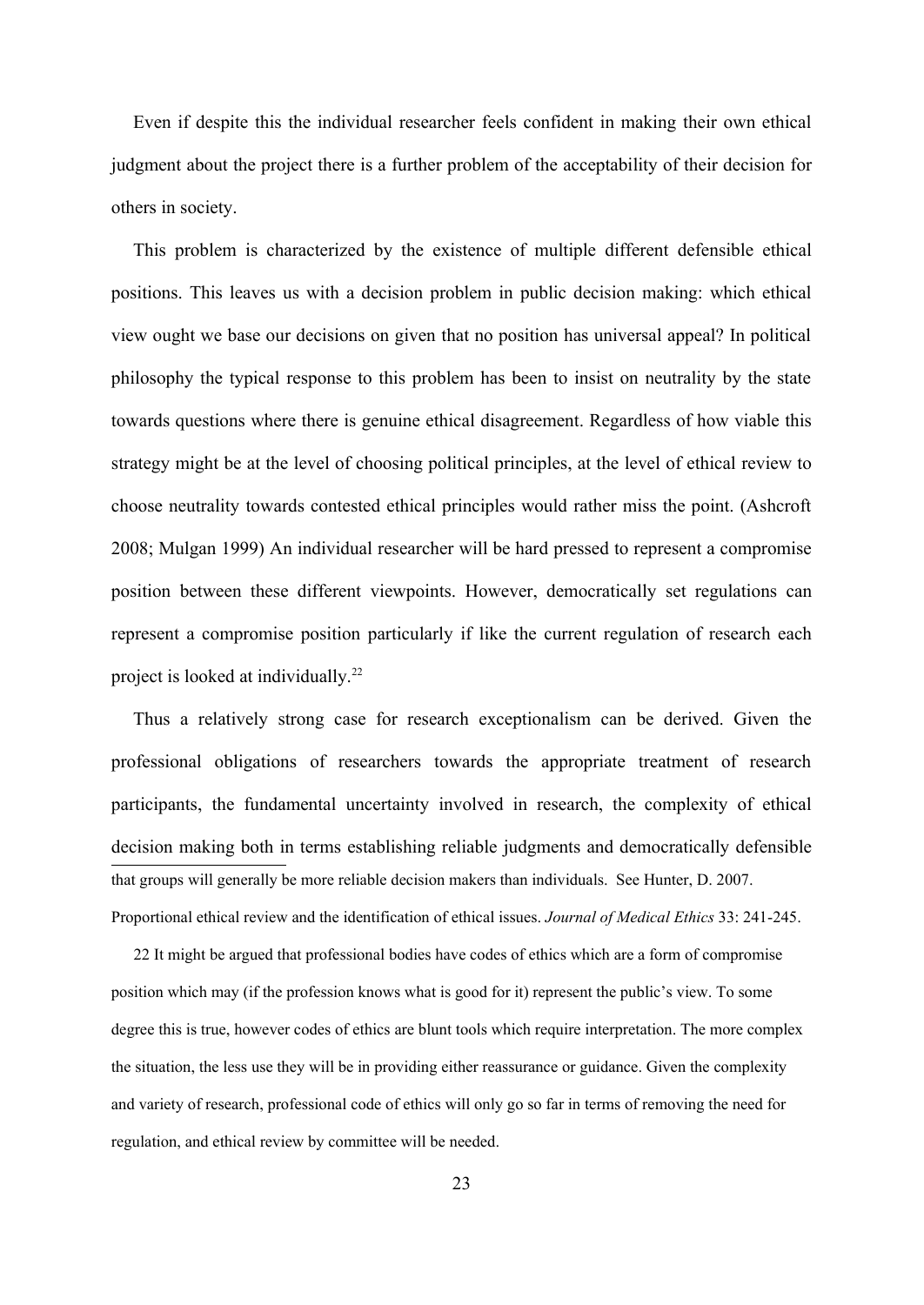Even if despite this the individual researcher feels confident in making their own ethical judgment about the project there is a further problem of the acceptability of their decision for others in society.

This problem is characterized by the existence of multiple different defensible ethical positions. This leaves us with a decision problem in public decision making: which ethical view ought we base our decisions on given that no position has universal appeal? In political philosophy the typical response to this problem has been to insist on neutrality by the state towards questions where there is genuine ethical disagreement. Regardless of how viable this strategy might be at the level of choosing political principles, at the level of ethical review to choose neutrality towards contested ethical principles would rather miss the point. (Ashcroft 2008; Mulgan 1999) An individual researcher will be hard pressed to represent a compromise position between these different viewpoints. However, democratically set regulations can represent a compromise position particularly if like the current regulation of research each project is looked at individually.<sup>[22](#page-22-0)</sup>

Thus a relatively strong case for research exceptionalism can be derived. Given the professional obligations of researchers towards the appropriate treatment of research participants, the fundamental uncertainty involved in research, the complexity of ethical decision making both in terms establishing reliable judgments and democratically defensible that groups will generally be more reliable decision makers than individuals. See Hunter, D. 2007. Proportional ethical review and the identification of ethical issues. *Journal of Medical Ethics* 33: 241-245.

<span id="page-22-0"></span>22 It might be argued that professional bodies have codes of ethics which are a form of compromise position which may (if the profession knows what is good for it) represent the public's view. To some degree this is true, however codes of ethics are blunt tools which require interpretation. The more complex the situation, the less use they will be in providing either reassurance or guidance. Given the complexity and variety of research, professional code of ethics will only go so far in terms of removing the need for regulation, and ethical review by committee will be needed.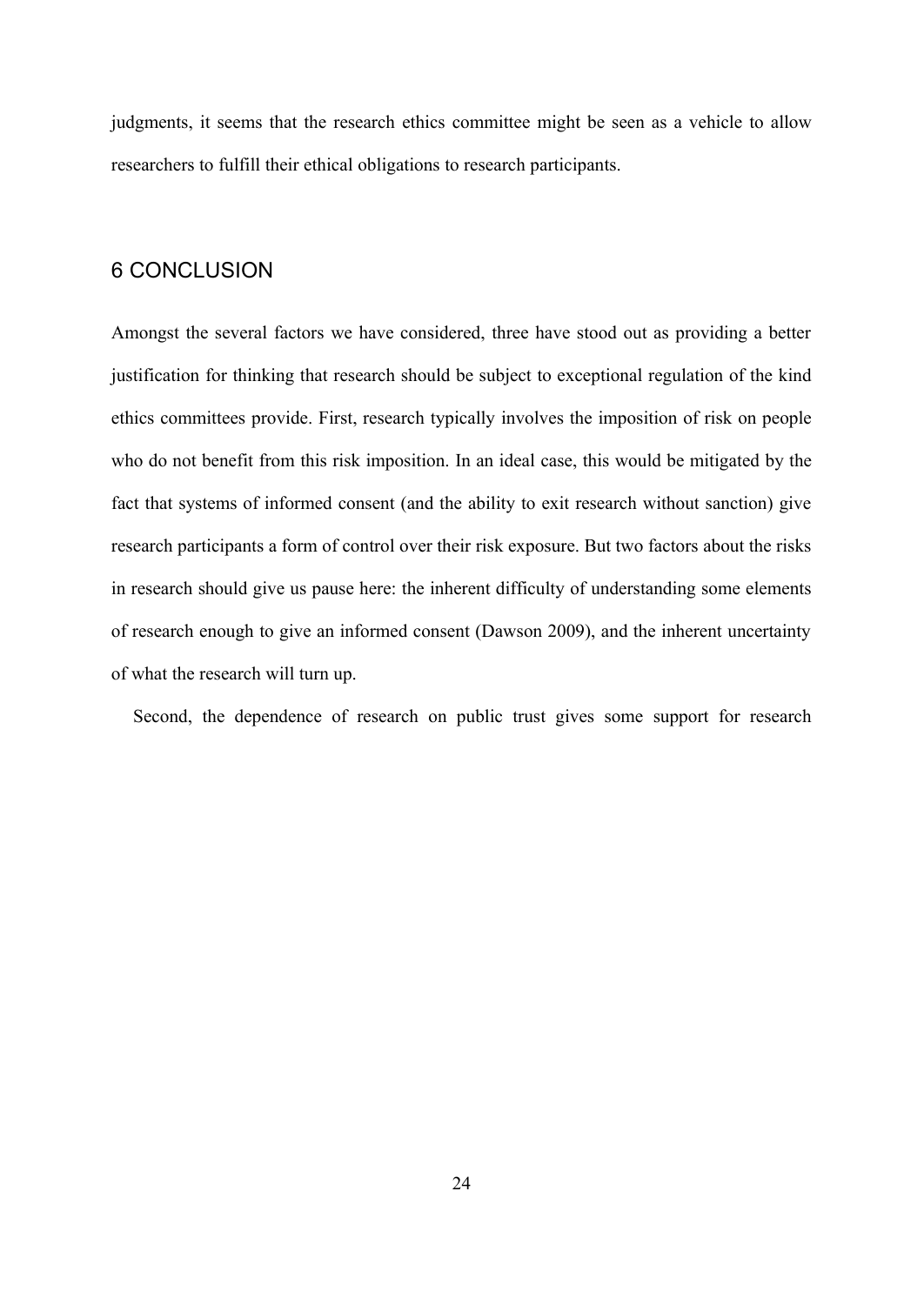judgments, it seems that the research ethics committee might be seen as a vehicle to allow researchers to fulfill their ethical obligations to research participants.

## 6 CONCLUSION

Amongst the several factors we have considered, three have stood out as providing a better justification for thinking that research should be subject to exceptional regulation of the kind ethics committees provide. First, research typically involves the imposition of risk on people who do not benefit from this risk imposition. In an ideal case, this would be mitigated by the fact that systems of informed consent (and the ability to exit research without sanction) give research participants a form of control over their risk exposure. But two factors about the risks in research should give us pause here: the inherent difficulty of understanding some elements of research enough to give an informed consent (Dawson 2009), and the inherent uncertainty of what the research will turn up.

Second, the dependence of research on public trust gives some support for research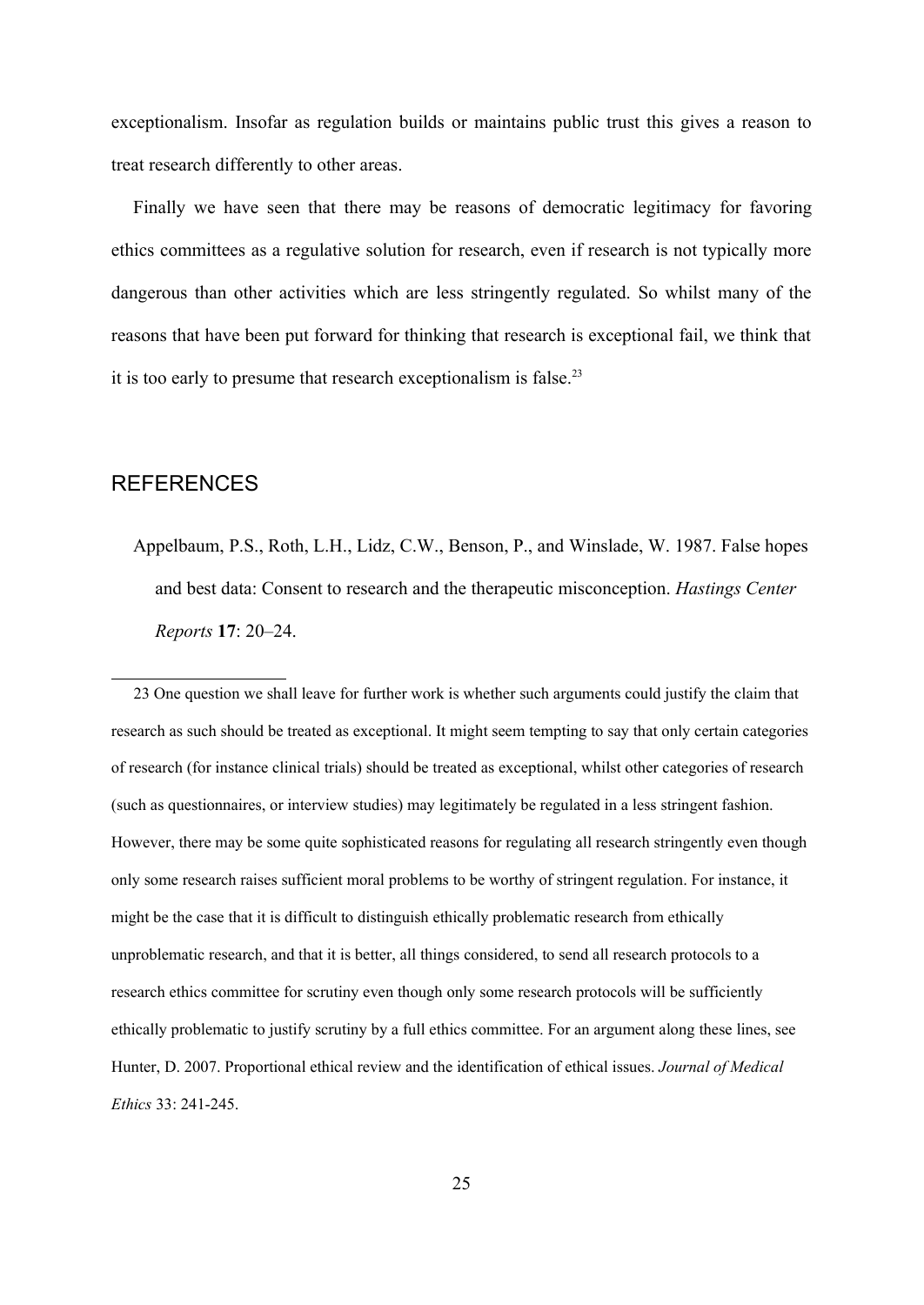exceptionalism. Insofar as regulation builds or maintains public trust this gives a reason to treat research differently to other areas.

Finally we have seen that there may be reasons of democratic legitimacy for favoring ethics committees as a regulative solution for research, even if research is not typically more dangerous than other activities which are less stringently regulated. So whilst many of the reasons that have been put forward for thinking that research is exceptional fail, we think that it is too early to presume that research exceptionalism is false.<sup>[23](#page-24-0)</sup>

### REFERENCES

Appelbaum, P.S., Roth, L.H., Lidz, C.W., Benson, P., and Winslade, W. 1987. False hopes and best data: Consent to research and the therapeutic misconception. *Hastings Center Reports* **17**: 20–24.

<span id="page-24-0"></span>23 One question we shall leave for further work is whether such arguments could justify the claim that research as such should be treated as exceptional. It might seem tempting to say that only certain categories of research (for instance clinical trials) should be treated as exceptional, whilst other categories of research (such as questionnaires, or interview studies) may legitimately be regulated in a less stringent fashion. However, there may be some quite sophisticated reasons for regulating all research stringently even though only some research raises sufficient moral problems to be worthy of stringent regulation. For instance, it might be the case that it is difficult to distinguish ethically problematic research from ethically unproblematic research, and that it is better, all things considered, to send all research protocols to a research ethics committee for scrutiny even though only some research protocols will be sufficiently ethically problematic to justify scrutiny by a full ethics committee. For an argument along these lines, see Hunter, D. 2007. Proportional ethical review and the identification of ethical issues. *Journal of Medical Ethics* 33: 241-245.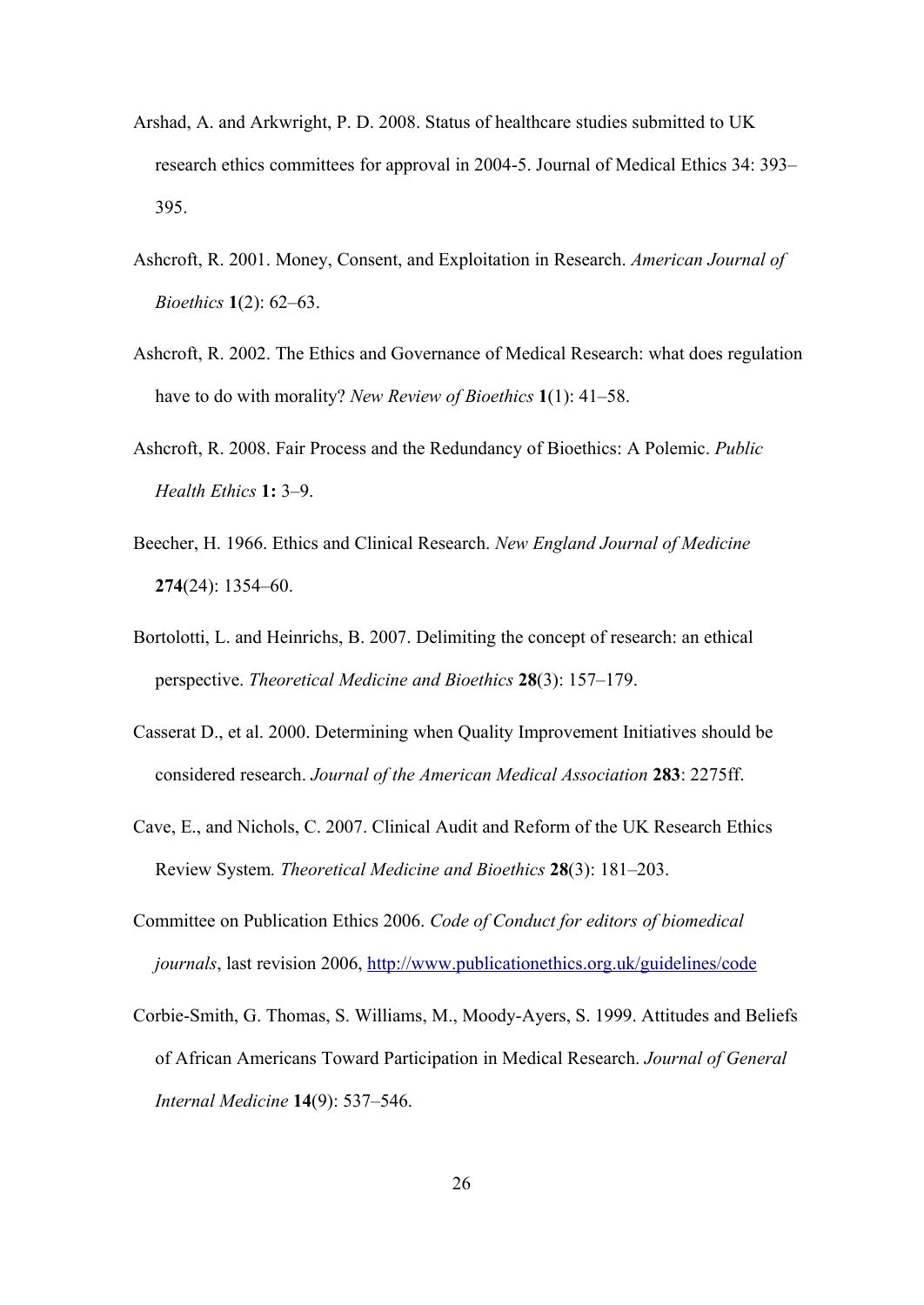- Arshad, A. and Arkwright, P. D. 2008. Status of healthcare studies submitted to UK research ethics committees for approval in 2004-5. Journal of Medical Ethics 34: 393– 395.
- Ashcroft, R. 2001. Money, Consent, and Exploitation in Research. *American Journal of Bioethics* **1**(2): 62–63.
- Ashcroft, R. 2002. The Ethics and Governance of Medical Research: what does regulation have to do with morality? *New Review of Bioethics* **1**(1): 41–58.
- Ashcroft, R. 2008. Fair Process and the Redundancy of Bioethics: A Polemic. *Public Health Ethics* **1:** 3–9.
- Beecher, H. 1966. Ethics and Clinical Research. *New England Journal of Medicine* **274**(24): 1354–60.
- Bortolotti, L. and Heinrichs, B. 2007. Delimiting the concept of research: an ethical perspective. *Theoretical Medicine and Bioethics* **28**(3): 157–179.
- Casserat D., et al. 2000. Determining when Quality Improvement Initiatives should be considered research. *Journal of the American Medical Association* **283**: 2275ff.
- Cave, E., and Nichols, C. 2007. Clinical Audit and Reform of the UK Research Ethics Review System*. Theoretical Medicine and Bioethics* **28**(3): 181–203.
- Committee on Publication Ethics 2006. *Code of Conduct for editors of biomedical journals*, last revision 2006,<http://www.publicationethics.org.uk/guidelines/code>
- Corbie-Smith, G. Thomas, S. Williams, M., Moody-Ayers, S. 1999. Attitudes and Beliefs of African Americans Toward Participation in Medical Research. *Journal of General Internal Medicine* **14**(9): 537–546.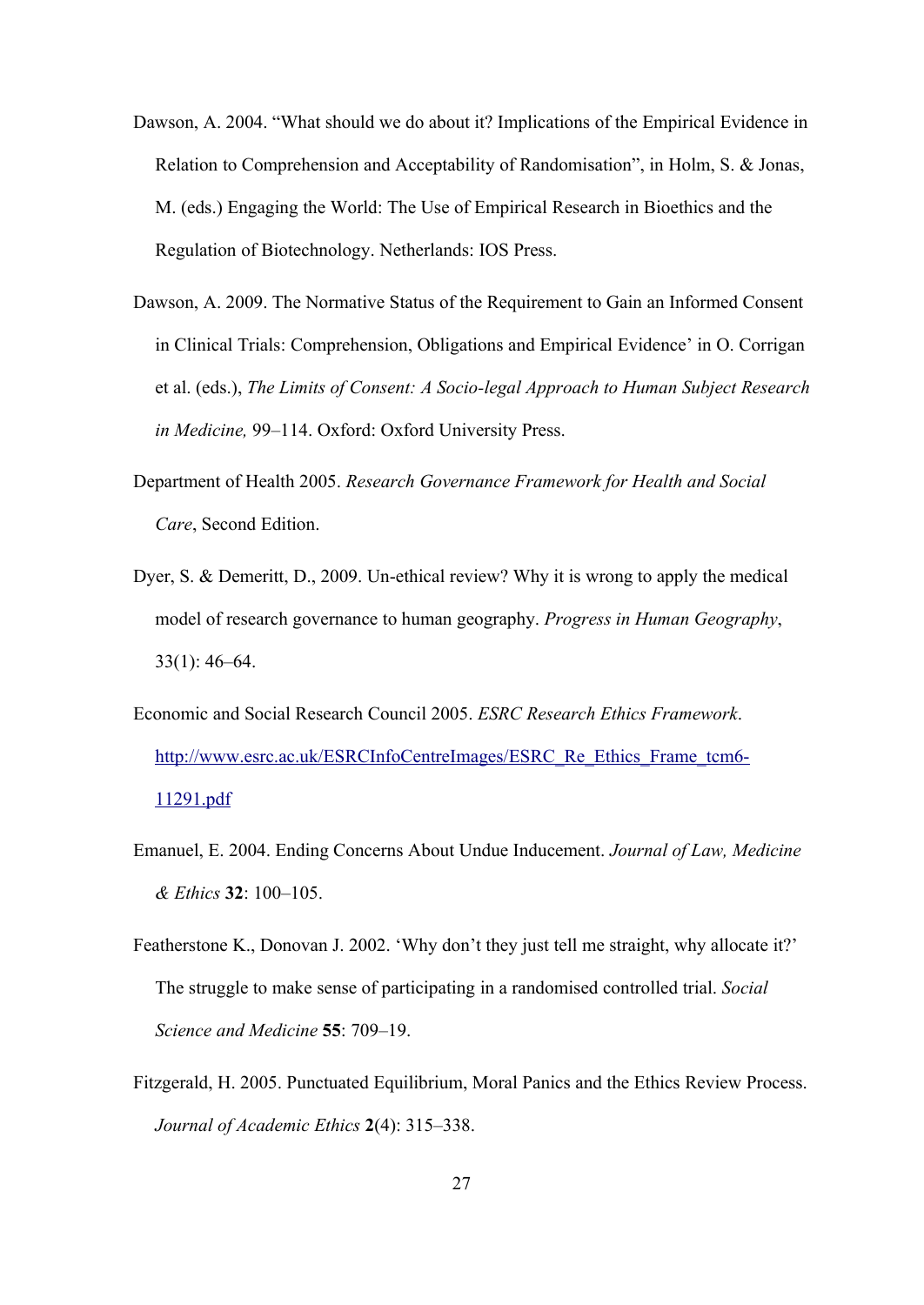- Dawson, A. 2004. "What should we do about it? Implications of the Empirical Evidence in Relation to Comprehension and Acceptability of Randomisation", in Holm, S. & Jonas, M. (eds.) Engaging the World: The Use of Empirical Research in Bioethics and the Regulation of Biotechnology. Netherlands: IOS Press.
- Dawson, A. 2009. The Normative Status of the Requirement to Gain an Informed Consent in Clinical Trials: Comprehension, Obligations and Empirical Evidence' in O. Corrigan et al. (eds.), *The Limits of Consent: A Socio-legal Approach to Human Subject Research in Medicine,* 99–114. Oxford: Oxford University Press.
- Department of Health 2005. *Research Governance Framework for Health and Social Care*, Second Edition.
- Dyer, S. & Demeritt, D., 2009. Un-ethical review? Why it is wrong to apply the medical model of research governance to human geography. *Progress in Human Geography*, 33(1): 46–64.
- Economic and Social Research Council 2005. *ESRC Research Ethics Framework*. [http://www.esrc.ac.uk/ESRCInfoCentreImages/ESRC\\_Re\\_Ethics\\_Frame\\_tcm6-](http://www.esrc.ac.uk/ESRCInfoCentreImages/ESRC_Re_Ethics_Frame_tcm6-11291.pdf) [11291.pdf](http://www.esrc.ac.uk/ESRCInfoCentreImages/ESRC_Re_Ethics_Frame_tcm6-11291.pdf)
- Emanuel, E. 2004. Ending Concerns About Undue Inducement. *Journal of Law, Medicine & Ethics* **32**: 100–105.
- Featherstone K., Donovan J. 2002. 'Why don't they just tell me straight, why allocate it?' The struggle to make sense of participating in a randomised controlled trial. *Social Science and Medicine* **55**: 709–19.
- Fitzgerald, H. 2005. Punctuated Equilibrium, Moral Panics and the Ethics Review Process. *Journal of Academic Ethics* **2**(4): 315–338.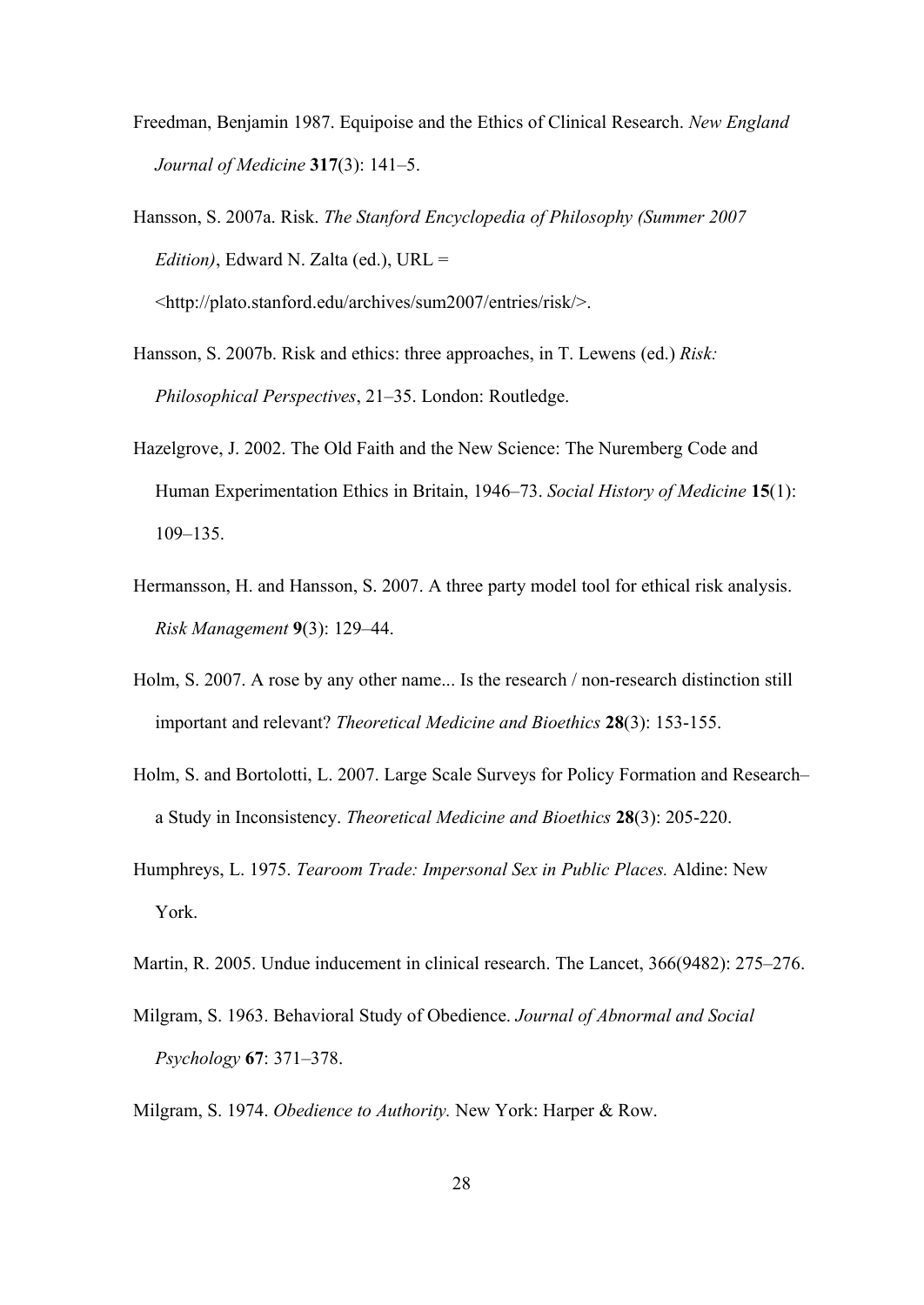- Freedman, Benjamin 1987. Equipoise and the Ethics of Clinical Research. *New England Journal of Medicine* **317**(3): 141–5.
- Hansson, S. 2007a. Risk. *The Stanford Encyclopedia of Philosophy (Summer 2007 Edition)*, Edward N. Zalta (ed.), URL = <http://plato.stanford.edu/archives/sum2007/entries/risk/>.
- Hansson, S. 2007b. Risk and ethics: three approaches, in T. Lewens (ed.) *Risk: Philosophical Perspectives*, 21–35. London: Routledge.
- Hazelgrove, J. 2002. The Old Faith and the New Science: The Nuremberg Code and Human Experimentation Ethics in Britain, 1946–73. *Social History of Medicine* **15**(1): 109–135.
- Hermansson, H. and Hansson, S. 2007. A three party model tool for ethical risk analysis. *Risk Management* **9**(3): 129–44.
- Holm, S. 2007. A rose by any other name... Is the research / non-research distinction still important and relevant? *Theoretical Medicine and Bioethics* **28**(3): 153-155.
- Holm, S. and Bortolotti, L. 2007. Large Scale Surveys for Policy Formation and Research– a Study in Inconsistency. *Theoretical Medicine and Bioethics* **28**(3): 205-220.
- Humphreys, L. 1975. *Tearoom Trade: Impersonal Sex in Public Places.* Aldine: New York.
- Martin, R. 2005. Undue inducement in clinical research. The Lancet, 366(9482): 275–276.
- Milgram, S. 1963. Behavioral Study of Obedience. *Journal of Abnormal and Social Psychology* **67**: 371–378.
- Milgram, S. 1974. *Obedience to Authority.* New York: Harper & Row.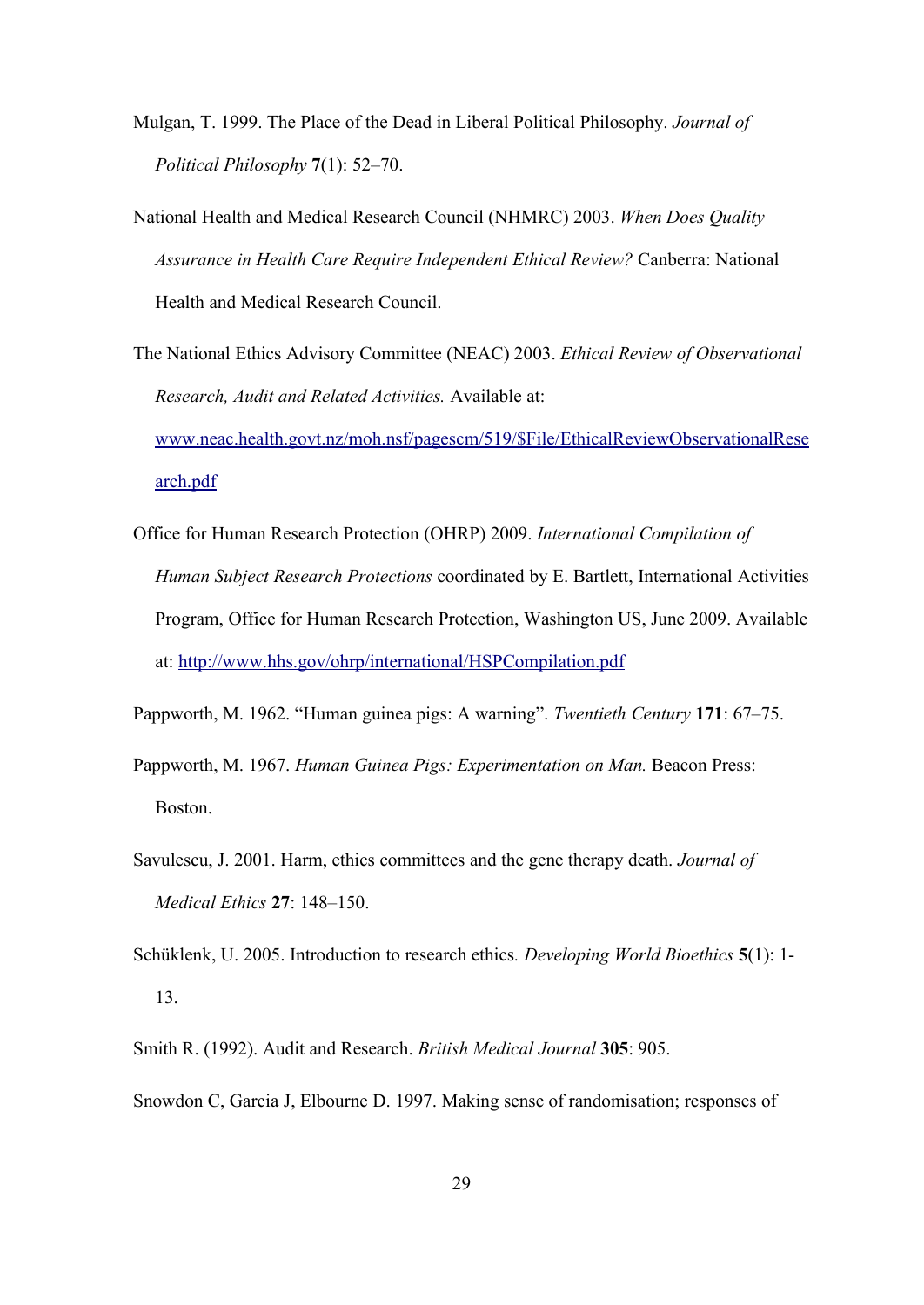- Mulgan, T. 1999. The Place of the Dead in Liberal Political Philosophy. *Journal of Political Philosophy* **7**(1): 52–70.
- National Health and Medical Research Council (NHMRC) 2003. *When Does Quality Assurance in Health Care Require Independent Ethical Review?* Canberra: National Health and Medical Research Council.

The National Ethics Advisory Committee (NEAC) 2003. *Ethical Review of Observational Research, Audit and Related Activities.* Available at: [www.neac.health.govt.nz/moh.nsf/pagescm/519/\\$File/EthicalReviewObservationalRese](file:///tmp/lyx_tmpdir.TJ7501/lyx_tmpbuf2/Research_Exceptionalism_AJoB.odt/www.neac.health.govt.nz/moh.nsf/pagescm/519/$File/EthicalReviewObservationalResearch.pdf) [arch.pdf](file:///tmp/lyx_tmpdir.TJ7501/lyx_tmpbuf2/Research_Exceptionalism_AJoB.odt/www.neac.health.govt.nz/moh.nsf/pagescm/519/$File/EthicalReviewObservationalResearch.pdf)

Office for Human Research Protection (OHRP) 2009. *International Compilation of Human Subject Research Protections* coordinated by E. Bartlett, International Activities Program, Office for Human Research Protection, Washington US, June 2009. Available at:<http://www.hhs.gov/ohrp/international/HSPCompilation.pdf>

Pappworth, M. 1962. "Human guinea pigs: A warning". *Twentieth Century* **171**: 67–75.

- Pappworth, M. 1967. *Human Guinea Pigs: Experimentation on Man.* Beacon Press: Boston.
- Savulescu, J. 2001. Harm, ethics committees and the gene therapy death. *Journal of Medical Ethics* **27**: 148–150.
- Schüklenk, U. 2005. Introduction to research ethics*. Developing World Bioethics* **5**(1): 1- 13.
- Smith R. (1992). Audit and Research. *British Medical Journal* **305**: 905.
- Snowdon C, Garcia J, Elbourne D. 1997. Making sense of randomisation; responses of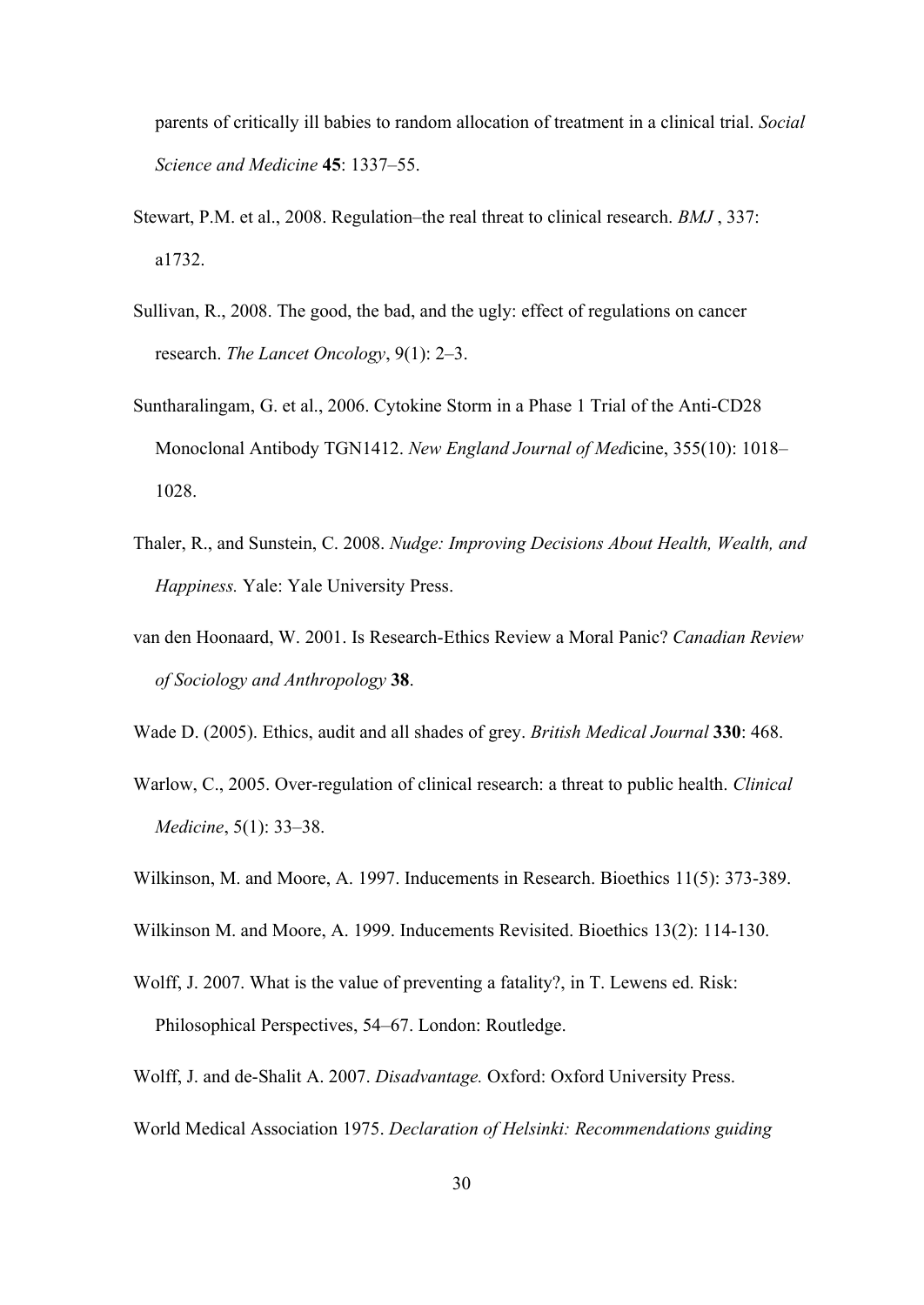parents of critically ill babies to random allocation of treatment in a clinical trial. *Social Science and Medicine* **45**: 1337–55.

- Stewart, P.M. et al., 2008. Regulation–the real threat to clinical research. *BMJ* , 337: a1732.
- Sullivan, R., 2008. The good, the bad, and the ugly: effect of regulations on cancer research. *The Lancet Oncology*, 9(1): 2–3.
- Suntharalingam, G. et al., 2006. Cytokine Storm in a Phase 1 Trial of the Anti-CD28 Monoclonal Antibody TGN1412. *New England Journal of Med*icine, 355(10): 1018– 1028.
- Thaler, R., and Sunstein, C. 2008. *Nudge: Improving Decisions About Health, Wealth, and Happiness.* Yale: Yale University Press.
- van den Hoonaard, W. 2001. Is Research-Ethics Review a Moral Panic? *Canadian Review of Sociology and Anthropology* **38**.
- Wade D. (2005). Ethics, audit and all shades of grey. *British Medical Journal* **330**: 468.
- Warlow, C., 2005. Over-regulation of clinical research: a threat to public health. *Clinical Medicine*, 5(1): 33–38.
- Wilkinson, M. and Moore, A. 1997. Inducements in Research. Bioethics 11(5): 373-389.
- Wilkinson M. and Moore, A. 1999. Inducements Revisited. Bioethics 13(2): 114-130.
- Wolff, J. 2007. What is the value of preventing a fatality?, in T. Lewens ed. Risk: Philosophical Perspectives, 54–67. London: Routledge.
- Wolff, J. and de-Shalit A. 2007. *Disadvantage.* Oxford: Oxford University Press.
- World Medical Association 1975. *Declaration of Helsinki: Recommendations guiding*